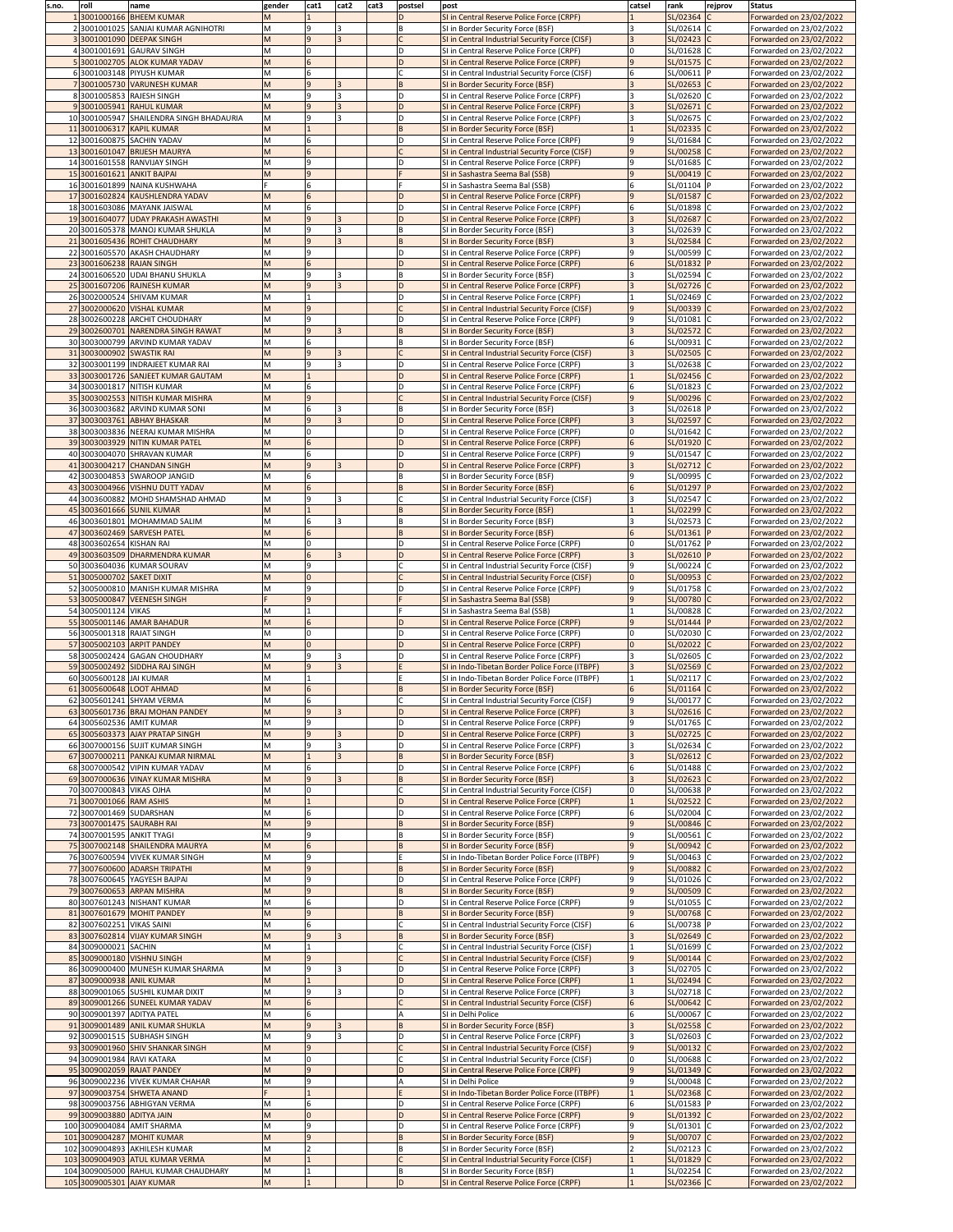| s.no. | roll                      | name                                                                  | gender | cat1                             | cat2         | cat3 | postsel | post                                                                                             | catsel | rank                     | rejprov | <b>Status</b>                                      |
|-------|---------------------------|-----------------------------------------------------------------------|--------|----------------------------------|--------------|------|---------|--------------------------------------------------------------------------------------------------|--------|--------------------------|---------|----------------------------------------------------|
|       |                           | 3001000166 BHEEM KUMAR<br>2 3001001025 SANJAI KUMAR AGNIHOTRI         |        | 9                                |              |      |         | SI in Central Reserve Police Force (CRPF)                                                        |        | SL/02364<br>SL/02614 C   |         | Forwarded on 23/02/2022                            |
|       |                           | 3001001090 DEEPAK SINGH                                               |        | $\overline{9}$                   |              |      |         | SI in Border Security Force (BSF)<br>SI in Central Industrial Security Force (CISF)              |        | SL/02423 C               |         | Forwarded on 23/02/2022<br>Forwarded on 23/02/2022 |
|       |                           | 3001001691 GAURAV SINGH                                               |        |                                  |              |      |         | SI in Central Reserve Police Force (CRPF)                                                        |        | SL/01628 C               |         | Forwarded on 23/02/2022                            |
|       |                           | 53001002705 ALOK KUMAR YADAV                                          |        | 6                                |              |      | ID      | SI in Central Reserve Police Force (CRPF)                                                        |        | SL/01575 C               |         | Forwarded on 23/02/2022                            |
|       |                           | 63001003148 PIYUSH KUMAR                                              |        | 6                                |              |      |         | SI in Central Industrial Security Force (CISF)                                                   | 6      | SL/00611 P               |         | Forwarded on 23/02/2022                            |
|       |                           | 73001005730 VARUNESH KUMAR                                            |        | $\overline{9}$                   |              |      |         | SI in Border Security Force (BSF)                                                                |        | SL/02653 C               |         | Forwarded on 23/02/2022                            |
|       |                           | 83001005853 RAJESH SINGH                                              |        | 9                                |              |      | ID      | SI in Central Reserve Police Force (CRPF)                                                        |        | SL/02620 C               |         | Forwarded on 23/02/2022                            |
|       |                           | 3001005941 RAHUL KUMAR                                                |        | $\overline{9}$                   |              |      | ID      | SI in Central Reserve Police Force (CRPF)                                                        |        | SL/02671                 |         | Forwarded on 23/02/2022                            |
|       |                           | 10 3001005947 SHAILENDRA SINGH BHADAURIA<br>11 3001006317 KAPIL KUMAR |        | 9                                |              |      |         | SI in Central Reserve Police Force (CRPF)<br>SI in Border Security Force (BSF)                   |        | SL/02675  <br>SL/02335 C |         | Forwarded on 23/02/2022<br>Forwarded on 23/02/2022 |
|       |                           | 12 3001600875 SACHIN YADAV                                            |        | 6                                |              |      | ID      | SI in Central Reserve Police Force (CRPF)                                                        | l Q    | SL/01684 C               |         | Forwarded on 23/02/2022                            |
|       |                           | 13 3001601047 BRIJESH MAURYA                                          |        | 6                                |              |      |         | SI in Central Industrial Security Force (CISF)                                                   |        | SL/00258 G               |         | Forwarded on 23/02/2022                            |
|       |                           | 14 3001601558 RANVIJAY SINGH                                          |        | 9                                |              |      |         | SI in Central Reserve Police Force (CRPF)                                                        |        | SL/01685 C               |         | Forwarded on 23/02/2022                            |
|       |                           | 15 3001601621 ANKIT BAJPAI                                            |        | $\overline{9}$                   |              |      |         | SI in Sashastra Seema Bal (SSB)                                                                  |        | SL/00419                 |         | Forwarded on 23/02/2022                            |
|       |                           | 16 3001601899 NAINA KUSHWAHA                                          |        | 6                                |              |      |         | SI in Sashastra Seema Bal (SSB)                                                                  |        | SL/01104  P              |         | Forwarded on 23/02/2022                            |
|       |                           | 17 3001602824 KAUSHLENDRA YADAV                                       |        | $6\overline{6}$                  |              |      |         | SI in Central Reserve Police Force (CRPF)                                                        |        | SL/01587 C               |         | Forwarded on 23/02/2022                            |
|       |                           | 183001603086 MAYANK JAISWAL<br>193001604077 UDAY PRAKASH AWASTHI      | M      | 6<br>$\overline{9}$              |              |      | ID      | SI in Central Reserve Police Force (CRPF)<br>SI in Central Reserve Police Force (CRPF)           |        | SL/01898 C<br>SL/02687 C |         | Forwarded on 23/02/2022<br>Forwarded on 23/02/2022 |
|       |                           | 20 3001605378 MANOJ KUMAR SHUKLA                                      |        | 9                                |              |      |         | SI in Border Security Force (BSF)                                                                |        | SL/02639                 |         | Forwarded on 23/02/2022                            |
|       |                           | 21 3001605436 ROHIT CHAUDHARY                                         |        | $\overline{9}$                   |              |      |         | SI in Border Security Force (BSF)                                                                |        | SL/02584                 |         | Forwarded on 23/02/2022                            |
|       |                           | 22 3001605570 AKASH CHAUDHARY                                         |        | 9                                |              |      | ID      | SI in Central Reserve Police Force (CRPF)                                                        | ۱q     | SL/00599 C               |         | Forwarded on 23/02/2022                            |
|       |                           | 23 3001606238 RAJAN SINGH                                             |        | 6                                |              |      | ID      | SI in Central Reserve Police Force (CRPF)                                                        |        | SL/01832 P               |         | Forwarded on 23/02/2022                            |
|       |                           | 24 3001606520 UDAI BHANU SHUKLA                                       |        | 9                                |              |      |         | SI in Border Security Force (BSF)                                                                |        | SL/02594 G               |         | Forwarded on 23/02/2022                            |
|       |                           | 25 3001607206 RAJNESH KUMAR                                           | м      | 9                                |              |      |         | SI in Central Reserve Police Force (CRPF)                                                        |        | SL/02726 C               |         | Forwarded on 23/02/2022                            |
|       |                           | 26 3002000524 SHIVAM KUMAR<br>27 3002000620 VISHAL KUMAR              |        | $\overline{9}$                   |              |      | ID      | SI in Central Reserve Police Force (CRPF)<br>SI in Central Industrial Security Force (CISF)      |        | SL/02469 G<br>SL/00339   |         | Forwarded on 23/02/2022<br>Forwarded on 23/02/2022 |
|       |                           | 28 3002600228 ARCHIT CHOUDHARY                                        |        | 9                                |              |      |         | SI in Central Reserve Police Force (CRPF)                                                        |        | SL/01081                 |         | Forwarded on 23/02/2022                            |
|       |                           | 29 3002600701 NARENDRA SINGH RAWAT                                    |        | $\overline{9}$                   | $\mathbf{R}$ |      | IB.     | SI in Border Security Force (BSF)                                                                |        | SL/02572 C               |         | Forwarded on 23/02/2022                            |
|       |                           | 30 3003000799 ARVIND KUMAR YADAV                                      |        | 6                                |              |      |         | SI in Border Security Force (BSF)                                                                |        | SL/00931                 |         | Forwarded on 23/02/2022                            |
|       |                           | 31 3003000902 SWASTIK RAI                                             |        | $\overline{9}$                   |              |      |         | <b>SI in Central Industrial Security Force (CISF)</b>                                            |        | SL/02505 C               |         | Forwarded on 23/02/2022                            |
|       |                           | 32 3003001199 INDRAJEET KUMAR RAI                                     |        | 9                                | 13           |      | ID      | SI in Central Reserve Police Force (CRPF)                                                        |        | SL/02638 C               |         | Forwarded on 23/02/2022                            |
|       |                           | 33 3003001726 SANJEET KUMAR GAUTAM                                    |        |                                  |              |      | ID      | SI in Central Reserve Police Force (CRPF)                                                        |        | SL/02456 C               |         | Forwarded on 23/02/2022                            |
|       |                           | 34 3003001817 NITISH KUMAR<br>35 3003002553 NITISH KUMAR MISHRA       |        | 6<br>$\overline{9}$              |              |      |         | SI in Central Reserve Police Force (CRPF)                                                        |        | SL/01823<br>SL/00296 C   |         | Forwarded on 23/02/2022<br>Forwarded on 23/02/2022 |
|       |                           | 36 3003003682 ARVIND KUMAR SONI                                       |        | 6                                | з            |      |         | SI in Central Industrial Security Force (CISF)<br>SI in Border Security Force (BSF)              |        | SL/02618 P               |         | Forwarded on 23/02/2022                            |
|       |                           | 37 3003003761 ABHAY BHASKAR                                           |        | l 9                              |              |      |         | SI in Central Reserve Police Force (CRPF)                                                        |        | SL/02597 C               |         | Forwarded on 23/02/2022                            |
|       |                           | 38 3003003836 NEERAJ KUMAR MISHRA                                     |        |                                  |              |      | ID      | SI in Central Reserve Police Force (CRPF)                                                        |        | SL/01642 C               |         | Forwarded on 23/02/2022                            |
|       |                           | 39 3003003929 NITIN KUMAR PATEL                                       |        | 6                                |              |      | ID      | SI in Central Reserve Police Force (CRPF)                                                        |        | SL/01920 C               |         | Forwarded on 23/02/2022                            |
|       |                           | 40 3003004070 SHRAVAN KUMAR                                           |        | 6                                |              |      | ID      | SI in Central Reserve Police Force (CRPF)                                                        |        | SL/01547                 |         | Forwarded on 23/02/2022                            |
|       |                           | 41 3003004217 CHANDAN SINGH                                           |        | $\overline{9}$                   |              |      | ID      | SI in Central Reserve Police Force (CRPF)                                                        |        | SL/02712 C               |         | Forwarded on 23/02/2022                            |
|       |                           | 42 3003004853 SWAROOP JANGID                                          |        | 6                                |              |      |         | SI in Border Security Force (BSF)                                                                |        | SL/00995 C               |         | Forwarded on 23/02/2022                            |
|       |                           | 43 3003004966 VISHNU DUTT YADAV<br>44 3003600882 MOHD SHAMSHAD AHMAD  |        | 6<br>9                           |              |      |         | SI in Border Security Force (BSF)<br>SI in Central Industrial Security Force (CISF)              |        | SL/01297 P<br>SL/02547 C |         | Forwarded on 23/02/2022<br>Forwarded on 23/02/2022 |
|       |                           | 45 3003601666 SUNIL KUMAR                                             |        |                                  |              |      |         | SI in Border Security Force (BSF)                                                                |        | SL/02299                 |         | Forwarded on 23/02/2022                            |
|       |                           | 46 3003601801 MOHAMMAD SALIM                                          |        | 6                                | ર            |      |         | SI in Border Security Force (BSF)                                                                |        | SL/02573 C               |         | Forwarded on 23/02/2022                            |
|       |                           | 47 3003602469 SARVESH PATEL                                           |        | $6\overline{6}$                  |              |      |         | SI in Border Security Force (BSF)                                                                |        | SL/01361                 |         | Forwarded on 23/02/2022                            |
|       | 48 3003602654 KISHAN RAI  |                                                                       |        | l0                               |              |      | ID      | SI in Central Reserve Police Force (CRPF)                                                        |        | SL/01762 P               |         | Forwarded on 23/02/2022                            |
|       |                           | 49 3003603509 DHARMENDRA KUMAR                                        |        | 6                                |              |      |         | SI in Central Reserve Police Force (CRPF)                                                        |        | SL/02610 P               |         | Forwarded on 23/02/2022                            |
|       |                           | 50 3003604036 KUMAR SOURAV                                            |        | 9                                |              |      |         | SI in Central Industrial Security Force (CISF)                                                   |        | SL/00224 C               |         | Forwarded on 23/02/2022                            |
|       | 51 3005000702 SAKET DIXIT | 52 3005000810 MANISH KUMAR MISHRA                                     |        | l0<br>9                          |              |      |         | SI in Central Industrial Security Force (CISF)<br>SI in Central Reserve Police Force (CRPF)      |        | SL/00953  <br>SL/01758 C |         | Forwarded on 23/02/2022<br>Forwarded on 23/02/2022 |
|       |                           | 53 3005000847 VEENESH SINGH                                           |        | l 9                              |              |      |         | SI in Sashastra Seema Bal (SSB)                                                                  |        | SL/00780 C               |         | Forwarded on 23/02/2022                            |
|       | 54 3005001124 VIKAS       |                                                                       |        |                                  |              |      |         | SI in Sashastra Seema Bal (SSB)                                                                  |        | SL/00828 C               |         | Forwarded on 23/02/2022                            |
|       |                           | 55 3005001146 AMAR BAHADUR                                            |        | 6                                |              |      |         | SI in Central Reserve Police Force (CRPF)                                                        |        | SL/01444 P               |         | Forwarded on 23/02/2022                            |
|       |                           | 56 3005001318 RAJAT SINGH                                             |        | l0                               |              |      |         | SI in Central Reserve Police Force (CRPF)                                                        |        | SL/02030 C               |         | Forwarded on 23/02/2022                            |
|       |                           | 57 3005002103 ARPIT PANDEY                                            |        | $\overline{0}$                   |              |      | ID      | SI in Central Reserve Police Force (CRPF)                                                        |        | SL/02022                 |         | Forwarded on 23/02/2022                            |
|       |                           | 58 3005002424 GAGAN CHOUDHARY                                         |        | 9<br><b>q</b>                    |              |      |         | SI in Central Reserve Police Force (CRPF)                                                        |        | SL/02605                 |         | Forwarded on 23/02/2022                            |
|       | 60 3005600128 JAI KUMAR   | 59 3005002492 SIDDHA RAJ SINGH                                        |        |                                  |              |      |         | SI in Indo-Tibetan Border Police Force (ITBPF)<br>SI in Indo-Tibetan Border Police Force (ITBPF) |        | SL/02569 C<br>SL/02117 C |         | Forwarded on 23/02/2022<br>Forwarded on 23/02/2022 |
|       |                           | 61 3005600648 LOOT AHMAD                                              |        | 6                                |              |      |         | SI in Border Security Force (BSF)                                                                |        | SL/01164 C               |         | Forwarded on 23/02/2022                            |
|       |                           | 62 3005601241 SHYAM VERMA                                             |        | 6                                |              |      |         | SI in Central Industrial Security Force (CISF)                                                   |        | SL/00177 C               |         | Forwarded on 23/02/2022                            |
|       |                           | 63 3005601736 BRAJ MOHAN PANDEY                                       |        | lq.                              |              |      |         | SI in Central Reserve Police Force (CRPF)                                                        |        | SL/02616 C               |         | Forwarded on 23/02/2022                            |
|       |                           | 64 3005602536 AMIT KUMAR                                              |        |                                  |              |      |         | SI in Central Reserve Police Force (CRPF)                                                        |        | SL/01765 C               |         | Forwarded on 23/02/2022                            |
|       |                           | 65 3005603373 AJAY PRATAP SINGH                                       |        | $\overline{9}$                   |              |      | ID      | SI in Central Reserve Police Force (CRPF)                                                        |        | SL/02725 C               |         | Forwarded on 23/02/2022                            |
|       |                           | 66 3007000156 SUJIT KUMAR SINGH                                       |        | 9                                |              |      |         | SI in Central Reserve Police Force (CRPF)                                                        |        | SL/02634 C               |         | Forwarded on 23/02/2022                            |
|       |                           | 67 3007000211 PANKAJ KUMAR NIRMAL<br>68 3007000542 VIPIN KUMAR YADAV  |        | 6                                |              |      |         | SI in Border Security Force (BSF)<br>SI in Central Reserve Police Force (CRPF)                   |        | SL/02612 C<br>SL/01488 C |         | Forwarded on 23/02/2022<br>Forwarded on 23/02/2022 |
|       |                           | 69 3007000636 VINAY KUMAR MISHRA                                      |        | $\overline{9}$                   |              |      |         | SI in Border Security Force (BSF)                                                                |        | SL/02623 C               |         | Forwarded on 23/02/2022                            |
|       | 70 3007000843 VIKAS OJHA  |                                                                       |        |                                  |              |      |         | SI in Central Industrial Security Force (CISF)                                                   |        | SL/00638 P               |         | Forwarded on 23/02/2022                            |
|       | 71 3007001066 RAM ASHIS   |                                                                       |        |                                  |              |      |         | SI in Central Reserve Police Force (CRPF)                                                        |        | SL/02522 C               |         | Forwarded on 23/02/2022                            |
|       |                           | 72 3007001469 SUDARSHAN                                               |        | 6                                |              |      |         | SI in Central Reserve Police Force (CRPF)                                                        |        | SL/02004                 |         | Forwarded on 23/02/2022                            |
|       |                           | 73 3007001475 SAURABH RAI                                             |        | <b>g</b>                         |              |      |         | SI in Border Security Force (BSF)                                                                |        | SL/00846 C               |         | Forwarded on 23/02/2022                            |
|       |                           | 74 3007001595 ANKIT TYAGI                                             |        | 9<br>6                           |              |      |         | SI in Border Security Force (BSF)                                                                |        | SL/00561 C<br>SL/00942 0 |         | Forwarded on 23/02/2022                            |
|       |                           | 75 3007002148 SHAILENDRA MAURYA<br>76 3007600594 VIVEK KUMAR SINGH    |        | l 9                              |              |      |         | SI in Border Security Force (BSF)<br>SI in Indo-Tibetan Border Police Force (ITBPF)              |        | SL/00463                 |         | Forwarded on 23/02/2022<br>Forwarded on 23/02/2022 |
|       |                           | 77 3007600600 ADARSH TRIPATHI                                         |        | 9                                |              |      |         | SI in Border Security Force (BSF)                                                                |        | SL/00882                 |         | Forwarded on 23/02/2022                            |
|       |                           | 78 3007600645 YAGYESH BAJPAI                                          |        | l 9                              |              |      |         | SI in Central Reserve Police Force (CRPF)                                                        |        | SL/01026 C               |         | Forwarded on 23/02/2022                            |
|       |                           | 79 3007600653 ARPAN MISHRA                                            |        | l 9                              |              |      |         | SI in Border Security Force (BSF)                                                                |        | SL/00509 C               |         | Forwarded on 23/02/2022                            |
|       |                           | 80 3007601243 NISHANT KUMAR                                           |        | 6                                |              |      | ID      | SI in Central Reserve Police Force (CRPF)                                                        |        | SL/01055 C               |         | Forwarded on 23/02/2022                            |
|       |                           | 81 3007601679 MOHIT PANDEY                                            |        | 9                                |              |      |         | SI in Border Security Force (BSF)                                                                |        | SL/00768 C               |         | Forwarded on 23/02/2022                            |
|       | 82 3007602251 VIKAS SAINI |                                                                       |        | 6                                |              |      |         | SI in Central Industrial Security Force (CISF)                                                   |        | SL/00738 P               |         | Forwarded on 23/02/2022                            |
|       | 84 3009000021 SACHIN      | 83 3007602814 VIJAY KUMAR SINGH                                       |        | $\overline{9}$                   |              |      |         | SI in Border Security Force (BSF)<br>SI in Central Industrial Security Force (CISF)              |        | SL/02649 C<br>SL/01699 C |         | Forwarded on 23/02/2022<br>Forwarded on 23/02/2022 |
|       |                           | 85 3009000180 VISHNU SINGH                                            |        | l 9                              |              |      |         | SI in Central Industrial Security Force (CISF)                                                   |        | SL/00144 C               |         | Forwarded on 23/02/2022                            |
|       |                           | 86 3009000400 MUNESH KUMAR SHARMA                                     |        | 9                                |              |      |         | SI in Central Reserve Police Force (CRPF)                                                        |        | SL/02705 C               |         | Forwarded on 23/02/2022                            |
|       |                           | 87 3009000938 ANIL KUMAR                                              |        |                                  |              |      |         | SI in Central Reserve Police Force (CRPF)                                                        |        | SL/02494 C               |         | Forwarded on 23/02/2022                            |
|       |                           | 88 3009001065 SUSHIL KUMAR DIXIT                                      |        | 9                                |              |      |         | SI in Central Reserve Police Force (CRPF)                                                        |        | SL/02718 C               |         | Forwarded on 23/02/2022                            |
|       |                           | 89 3009001266 SUNEEL KUMAR YADAV                                      |        | 6                                |              |      |         | SI in Central Industrial Security Force (CISF)                                                   |        | SL/00642 C               |         | Forwarded on 23/02/2022                            |
|       |                           | 90 3009001397 ADITYA PATEL                                            |        | 6                                |              |      |         | SI in Delhi Police                                                                               |        | SL/00067 C               |         | Forwarded on 23/02/2022                            |
|       |                           | 91 3009001489 ANIL KUMAR SHUKLA                                       |        | $\overline{9}$                   |              |      |         | SI in Border Security Force (BSF)                                                                |        | SL/02558 C               |         | Forwarded on 23/02/2022                            |
|       |                           | 92 3009001515 SUBHASH SINGH<br>93 3009001960 SHIV SHANKAR SINGH       |        | l 9<br>9                         |              |      |         | SI in Central Reserve Police Force (CRPF)<br>SI in Central Industrial Security Force (CISF)      |        | SL/02603 C<br>SL/00132 C |         | Forwarded on 23/02/2022<br>Forwarded on 23/02/2022 |
|       |                           | 94 3009001984 RAVI KATARA                                             |        |                                  |              |      |         | SI in Central Industrial Security Force (CISF)                                                   |        | SL/00688 C               |         | Forwarded on 23/02/2022                            |
|       |                           | 95 3009002059 RAJAT PANDEY                                            |        |                                  |              |      |         | SI in Central Reserve Police Force (CRPF)                                                        |        | SL/01349 C               |         | Forwarded on 23/02/2022                            |
|       |                           | 96 3009002236 VIVEK KUMAR CHAHAR                                      |        | 9                                |              |      |         | SI in Delhi Police                                                                               |        | SL/00048 C               |         | Forwarded on 23/02/2022                            |
|       |                           | 97 3009003754 SHWETA ANAND                                            |        |                                  |              |      |         | SI in Indo-Tibetan Border Police Force (ITBPF)                                                   |        | SL/02368 C               |         | Forwarded on 23/02/2022                            |
|       |                           | 98 3009003756 ABHIGYAN VERMA                                          |        | 6                                |              |      |         | SI in Central Reserve Police Force (CRPF)                                                        | 6      | SL/01583 P               |         | Forwarded on 23/02/2022                            |
|       | 99 3009003880 ADITYA JAIN |                                                                       |        |                                  |              |      |         | SI in Central Reserve Police Force (CRPF)                                                        |        | SL/01392 C               |         | Forwarded on 23/02/2022                            |
|       |                           | 100 3009004084 AMIT SHARMA                                            |        | 9                                |              |      |         | SI in Central Reserve Police Force (CRPF)                                                        |        | SL/01301 C               |         | Forwarded on 23/02/2022                            |
|       |                           | 101 3009004287 MOHIT KUMAR<br>102 3009004893 AKHILESH KUMAR           | M      | $\overline{9}$<br>$\overline{2}$ |              |      |         | SI in Border Security Force (BSF)<br>SI in Border Security Force (BSF)                           |        | SL/00707 C<br>SL/02123   |         | Forwarded on 23/02/2022                            |
|       |                           | 103 3009004903 ATUL KUMAR VERMA                                       |        |                                  |              |      |         | SI in Central Industrial Security Force (CISF)                                                   |        | SL/01829                 |         | Forwarded on 23/02/2022<br>Forwarded on 23/02/2022 |
|       |                           | 104 3009005000 RAHUL KUMAR CHAUDHARY                                  | Μ      |                                  |              |      |         | SI in Border Security Force (BSF)                                                                |        | SL/02254 C               |         | Forwarded on 23/02/2022                            |
|       |                           | 105 3009005301 AJAY KUMAR                                             | M      |                                  |              |      | ID.     | SI in Central Reserve Police Force (CRPF)                                                        |        | SL/02366 C               |         | Forwarded on 23/02/2022                            |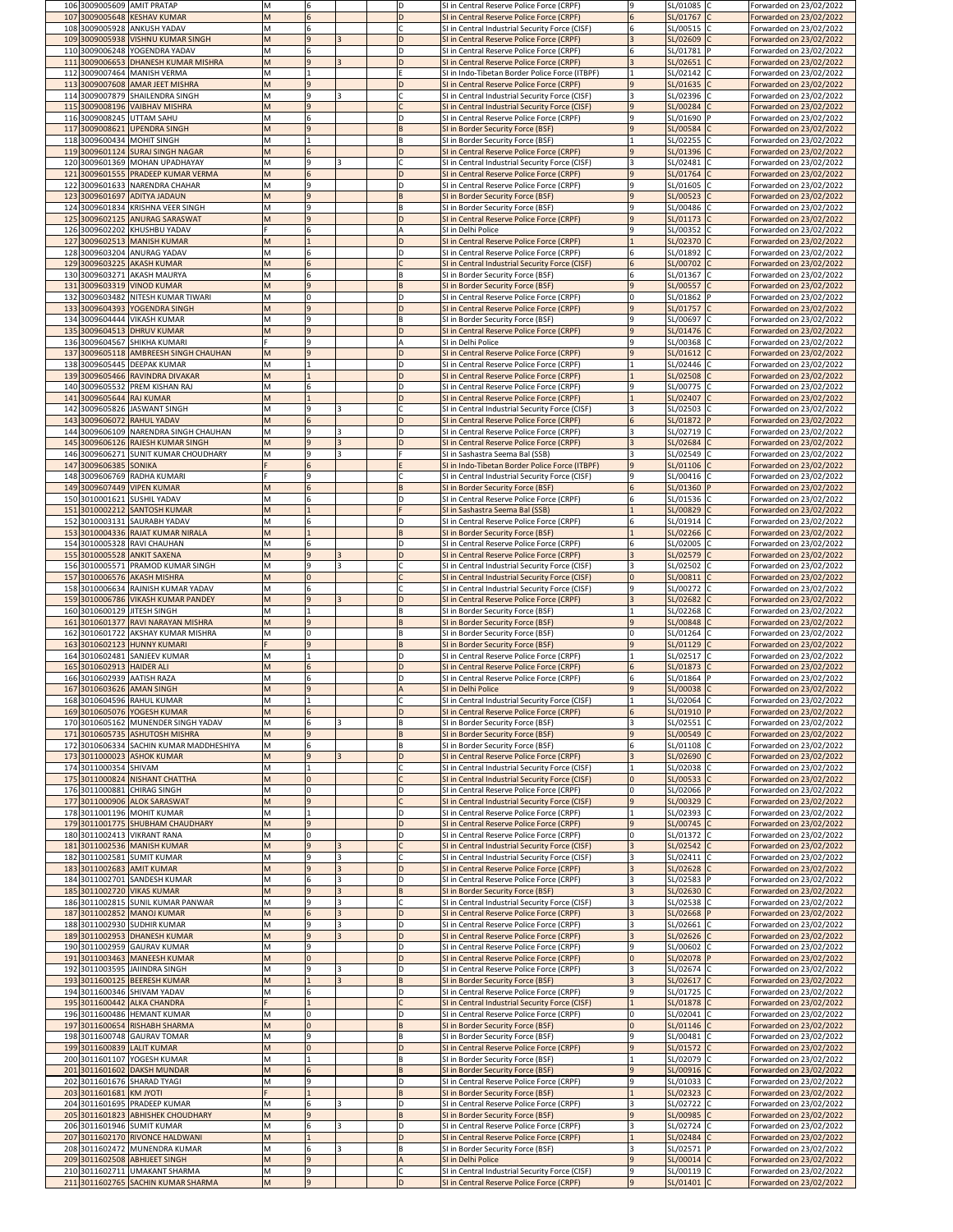|     | 106 3009005609 AMIT PRATAP                                                |            | 6                 |  | D            | SI in Central Reserve Police Force (CRPF)                                                        | SL/01085 C<br>Ι9                               | Forwarded on 23/02/2022                            |
|-----|---------------------------------------------------------------------------|------------|-------------------|--|--------------|--------------------------------------------------------------------------------------------------|------------------------------------------------|----------------------------------------------------|
|     | 107 3009005648 KESHAV KUMAR                                               |            |                   |  | D            | SI in Central Reserve Police Force (CRPF)                                                        | SL/01767 C                                     | Forwarded on 23/02/2022                            |
|     | 108 3009005928 ANKUSH YADAV<br>109 3009005938 VISHNU KUMAR SINGH          |            | 6<br>$\mathbf{q}$ |  |              | SI in Central Industrial Security Force (CISF)<br>SI in Central Reserve Police Force (CRPF)      | SL/00515 C<br>SL/02609 C                       | Forwarded on 23/02/2022<br>Forwarded on 23/02/2022 |
|     | 110 3009006248 YOGENDRA YADAV                                             |            |                   |  | D            | SI in Central Reserve Police Force (CRPF)                                                        | SL/01781                                       | Forwarded on 23/02/2022                            |
|     | 111 3009006653 DHANESH KUMAR MISHRA                                       | M          | l q               |  |              | SI in Central Reserve Police Force (CRPF)                                                        | SL/02651 C                                     | Forwarded on 23/02/2022                            |
|     | 112 3009007464 MANISH VERMA                                               |            |                   |  |              | SI in Indo-Tibetan Border Police Force (ITBPF)                                                   | SL/02142 C                                     | Forwarded on 23/02/2022                            |
|     | 113 3009007608 AMAR JEET MISHRA                                           |            |                   |  |              | SI in Central Reserve Police Force (CRPF)                                                        | SL/01635 C                                     | Forwarded on 23/02/2022                            |
|     | 114 3009007879 SHAILENDRA SINGH<br>115 3009008196 VAIBHAV MISHRA          |            | 9<br><b>9</b>     |  |              | SI in Central Industrial Security Force (CISF)<br>SI in Central Industrial Security Force (CISF) | SL/02396 C<br><b>9</b><br>SL/00284 C           | Forwarded on 23/02/2022<br>Forwarded on 23/02/2022 |
|     | 116 3009008245 UTTAM SAHU                                                 |            | 6                 |  | D            | SI in Central Reserve Police Force (CRPF)                                                        | SL/01690 P<br>9                                | Forwarded on 23/02/2022                            |
|     | 117 3009008621 UPENDRA SINGH                                              |            | $\mathbf{q}$      |  |              | SI in Border Security Force (BSF)                                                                | 9<br>SL/00584 C                                | Forwarded on 23/02/2022                            |
|     | 118 3009600434 MOHIT SINGH                                                |            |                   |  | IB.          | SI in Border Security Force (BSF)                                                                | SL/02255 C                                     | Forwarded on 23/02/2022                            |
|     | 119 3009601124 SURAJ SINGH NAGAR                                          |            | 6                 |  |              | SI in Central Reserve Police Force (CRPF)                                                        | SL/01396 C                                     | Forwarded on 23/02/2022                            |
| 121 | 120 3009601369 MOHAN UPADHAYAY<br>3009601555 PRADEEP KUMAR VERMA          |            | <b>9</b><br>6     |  | D            | SI in Central Industrial Security Force (CISF)<br>SI in Central Reserve Police Force (CRPF)      | SL/02481 C<br><b>9</b><br>SL/01764 C           | Forwarded on 23/02/2022<br>Forwarded on 23/02/2022 |
|     | 122 3009601633 NARENDRA CHAHAR                                            |            | q                 |  |              | SI in Central Reserve Police Force (CRPF)                                                        | SL/01605 C<br>q                                | Forwarded on 23/02/2022                            |
|     | 123 3009601697 ADITYA JADAUN                                              |            | l q               |  |              | SI in Border Security Force (BSF)                                                                | 9<br>SL/00523 C                                | Forwarded on 23/02/2022                            |
| 124 | 3009601834 KRISHNA VEER SINGH                                             |            | 9                 |  | B            | SI in Border Security Force (BSF)                                                                | SL/00486 C<br>q                                | Forwarded on 23/02/2022                            |
|     | 125 3009602125 ANURAG SARASWAT                                            |            | $\overline{9}$    |  |              | SI in Central Reserve Police Force (CRPF)                                                        | SL/01173 C                                     | Forwarded on 23/02/2022                            |
|     | 126 3009602202 KHUSHBU YADAV                                              |            |                   |  |              | SI in Delhi Police                                                                               | SL/00352 C                                     | Forwarded on 23/02/2022                            |
| 127 | 3009602513 MANISH KUMAR<br>128 3009603204 ANURAG YADAV                    |            |                   |  | D<br>D       | SI in Central Reserve Police Force (CRPF)<br>SI in Central Reserve Police Force (CRPF)           | SL/02370 C<br>SL/01892 C<br>6                  | Forwarded on 23/02/2022<br>Forwarded on 23/02/2022 |
|     | 129 3009603225 AKASH KUMAR                                                |            |                   |  |              | SI in Central Industrial Security Force (CISF)                                                   | SL/00702 C                                     | Forwarded on 23/02/2022                            |
|     | 130 3009603271 AKASH MAURYA                                               |            |                   |  |              | SI in Border Security Force (BSF)                                                                | SL/01367 C                                     | Forwarded on 23/02/2022                            |
|     | 131 3009603319 VINOD KUMAR                                                |            | <u>g</u>          |  | ΙB           | SI in Border Security Force (BSF)                                                                | SL/00557 C                                     | Forwarded on 23/02/2022                            |
|     | 132 3009603482 NITESH KUMAR TIWARI<br>133 3009604393 YOGENDRA SINGH       |            | l 9               |  | ID.          | SI in Central Reserve Police Force (CRPF)<br>SI in Central Reserve Police Force (CRPF)           | 0<br>SL/01862  P<br>SL/01757 C                 | Forwarded on 23/02/2022                            |
|     | 134 3009604444 VIKASH KUMAR                                               |            | q                 |  | B            | SI in Border Security Force (BSF)                                                                | SL/00697 C<br>۱q                               | Forwarded on 23/02/2022<br>Forwarded on 23/02/2022 |
|     | 135 3009604513 DHRUV KUMAR                                                |            | <b>9</b>          |  | ID.          | SI in Central Reserve Police Force (CRPF)                                                        | <b>9</b><br>SL/01476 C                         | Forwarded on 23/02/2022                            |
|     | 136 3009604567 SHIKHA KUMARI                                              |            |                   |  |              | SI in Delhi Police                                                                               | SL/00368 C                                     | Forwarded on 23/02/2022                            |
|     | 137 3009605118 AMBREESH SINGH CHAUHAN                                     |            |                   |  |              | SI in Central Reserve Police Force (CRPF)                                                        | SL/01612 C<br>9                                | Forwarded on 23/02/2022                            |
|     | 138 3009605445 DEEPAK KUMAR                                               | M          |                   |  | D            | SI in Central Reserve Police Force (CRPF)                                                        | SL/02446 C                                     | Forwarded on 23/02/2022                            |
|     | 139 3009605466 RAVINDRA DIVAKAR<br>140 3009605532 PREM KISHAN RAJ         |            |                   |  | D<br>D       | SI in Central Reserve Police Force (CRPF)<br>SI in Central Reserve Police Force (CRPF)           | SL/02508 C<br>SL/00775 C                       | Forwarded on 23/02/2022<br>Forwarded on 23/02/2022 |
| 141 | 3009605644 RAJ KUMAR                                                      |            |                   |  | D            | SI in Central Reserve Police Force (CRPF)                                                        | SL/02407 C                                     | Forwarded on 23/02/2022                            |
|     | 142 3009605826 JASWANT SINGH                                              | M          | 9                 |  |              | SI in Central Industrial Security Force (CISF)                                                   | SL/02503 C                                     | Forwarded on 23/02/2022                            |
|     | 143 3009606072 RAHUL YADAV                                                |            |                   |  | D            | SI in Central Reserve Police Force (CRPF)                                                        | SL/01872 P<br>6                                | Forwarded on 23/02/2022                            |
|     | 144 3009606109 NARENDRA SINGH CHAUHAN                                     |            | q                 |  | D            | SI in Central Reserve Police Force (CRPF)                                                        | SL/02719 C                                     | Forwarded on 23/02/2022                            |
|     | 145 3009606126 RAJESH KUMAR SINGH<br>146 3009606271 SUNIT KUMAR CHOUDHARY | M          | l 9<br>q          |  | D            | SI in Central Reserve Police Force (CRPF)<br>SI in Sashastra Seema Bal (SSB)                     | SL/02684 C<br>SL/02549  C                      | Forwarded on 23/02/2022<br>Forwarded on 23/02/2022 |
|     | 147 3009606385 SONIKA                                                     |            | 6                 |  |              | SI in Indo-Tibetan Border Police Force (ITBPF)                                                   | <u>g</u><br>SL/01106 C                         | Forwarded on 23/02/2022                            |
|     | 148 3009606769 RADHA KUMARI                                               |            | ۱q                |  |              | SI in Central Industrial Security Force (CISF)                                                   | 9<br>SL/00416 C                                | Forwarded on 23/02/2022                            |
|     | 149 3009607449 VIPEN KUMAR                                                |            |                   |  | ΙB.          | SI in Border Security Force (BSF)                                                                | SL/01360 P<br>6                                | Forwarded on 23/02/2022                            |
|     | 150 3010001621 SUSHIL YADAV                                               |            | 6                 |  | D            | SI in Central Reserve Police Force (CRPF)                                                        | SL/01536 C                                     | Forwarded on 23/02/2022                            |
|     | 151 3010002212 SANTOSH KUMAR<br>152 3010003131 SAURABH YADAV              |            |                   |  | ID.          | SI in Sashastra Seema Bal (SSB)<br>SI in Central Reserve Police Force (CRPF)                     | SL/00829<br>SL/01914 C<br>6                    | Forwarded on 23/02/2022                            |
|     | 153 3010004336 RAJAT KUMAR NIRALA                                         |            |                   |  |              | SI in Border Security Force (BSF)                                                                | SL/02266 C                                     | Forwarded on 23/02/2022<br>Forwarded on 23/02/2022 |
|     | 154 3010005328 RAVI CHAUHAN                                               |            |                   |  | D            | SI in Central Reserve Police Force (CRPF)                                                        | SL/02005 C                                     | Forwarded on 23/02/2022                            |
|     | 155 3010005528 ANKIT SAXENA                                               |            | 9                 |  | D            | SI in Central Reserve Police Force (CRPF)                                                        | SL/02579 C                                     | Forwarded on 23/02/2022                            |
|     | 156 3010005571 PRAMOD KUMAR SINGH                                         |            | q                 |  |              | SI in Central Industrial Security Force (CISF)                                                   | SL/02502 C                                     | Forwarded on 23/02/2022                            |
|     | 157 3010006576 AKASH MISHRA<br>158 3010006634 RAJNISH KUMAR YADAV         |            | 6                 |  |              | SI in Central Industrial Security Force (CISF)<br>SI in Central Industrial Security Force (CISF) | SL/00811 C<br>SL/00272 C<br>q                  | Forwarded on 23/02/2022                            |
|     | 159 3010006786 VIKASH KUMAR PANDEY                                        |            | $\mathbf{q}$      |  | D            | SI in Central Reserve Police Force (CRPF)                                                        | SL/02682 C                                     | Forwarded on 23/02/2022<br>Forwarded on 23/02/2022 |
|     | 160 3010600129 JITESH SINGH                                               |            |                   |  | ΙB           | SI in Border Security Force (BSF)                                                                | SL/02268 C                                     | Forwarded on 23/02/2022                            |
|     | 161 3010601377 RAVI NARAYAN MISHRA                                        |            | $\mathbf{q}$      |  |              | SI in Border Security Force (BSF)                                                                | SL/00848 C                                     | Forwarded on 23/02/2022                            |
|     | 162 3010601722 AKSHAY KUMAR MISHRA                                        | M          |                   |  | ΙB           | SI in Border Security Force (BSF)                                                                | SL/01264 C<br>l0                               | Forwarded on 23/02/2022                            |
|     | 163 3010602123 HUNNY KUMARI                                               |            | $\mathbf{q}$      |  | ΙB.          | SI in Border Security Force (BSF)                                                                | SL/01129 C<br>$\mathsf{q}$                     | Forwarded on 23/02/2022                            |
|     | 164 3010602481 SANJEEV KUMAR<br>165 3010602913 HAIDER ALI                 |            |                   |  | D            | SI in Central Reserve Police Force (CRPF)<br>SI in Central Reserve Police Force (CRPF)           | SL/02517 C<br>SL/01873 C<br>6                  | Forwarded on 23/02/2022<br>Forwarded on 23/02/2022 |
|     | 166 3010602939 AATISH RAZA                                                |            | 6                 |  | ID.          | SI in Central Reserve Police Force (CRPF)                                                        | SL/01864  P<br>6                               | Forwarded on 23/02/2022                            |
|     | 167 3010603626 AMAN SINGH                                                 |            | 9                 |  |              | SI in Delhi Police                                                                               | SL/00038 C                                     | Forwarded on 23/02/2022                            |
|     | 168 3010604596 RAHUL KUMAR                                                |            |                   |  |              | SI in Central Industrial Security Force (CISF)                                                   | SL/02064 C                                     | Forwarded on 23/02/2022                            |
|     | 169 3010605076 YOGESH KUMAR                                               |            |                   |  |              | SI in Central Reserve Police Force (CRPF)                                                        | SL/01910 P                                     | Forwarded on 23/02/2022                            |
|     | 170 3010605162 MUNENDER SINGH YADAV<br>171 3010605735 ASHUTOSH MISHRA     |            | 6<br>$\mathbf{q}$ |  |              | SI in Border Security Force (BSF)<br>SI in Border Security Force (BSF)                           | SL/02551 C<br>SL/00549 C<br>$\mathsf{q}$       | Forwarded on 23/02/2022<br>Forwarded on 23/02/2022 |
|     | 172 3010606334 SACHIN KUMAR MADDHESHIYA                                   | M          |                   |  | l B          | SI in Border Security Force (BSF)                                                                | SL/01108 C                                     | Forwarded on 23/02/2022                            |
|     | 173 3011000023 ASHOK KUMAR                                                |            | l q               |  |              | SI in Central Reserve Police Force (CRPF)                                                        | SL/02690 C                                     | Forwarded on 23/02/2022                            |
|     | 174 3011000354 SHIVAM                                                     |            |                   |  |              | SI in Central Industrial Security Force (CISF)                                                   | SL/02038 C                                     | Forwarded on 23/02/2022                            |
|     | 175 3011000824 NISHANT CHATTHA<br>176 3011000881 CHIRAG SINGH             |            |                   |  |              | SI in Central Industrial Security Force (CISF)                                                   | SL/00533 C                                     | Forwarded on 23/02/2022                            |
|     | 177 3011000906 ALOK SARASWAT                                              |            | $\mathbf{q}$      |  |              | SI in Central Reserve Police Force (CRPF)<br>SI in Central Industrial Security Force (CISF)      | SL/02066 P<br>SL/00329 C                       | Forwarded on 23/02/2022<br>Forwarded on 23/02/2022 |
|     | 178 3011001196 MOHIT KUMAR                                                |            |                   |  |              | SI in Central Reserve Police Force (CRPF)                                                        | SL/02393 C                                     | Forwarded on 23/02/2022                            |
|     | 179 3011001775 SHUBHAM CHAUDHARY                                          |            |                   |  |              | SI in Central Reserve Police Force (CRPF)                                                        | SL/00745 C                                     | Forwarded on 23/02/2022                            |
|     | 180 3011002413 VIKRANT RANA                                               |            |                   |  | D            | SI in Central Reserve Police Force (CRPF)                                                        | SL/01372 C<br>IO.                              |                                                    |
|     | 181 3011002536 MANISH KUMAR                                               |            |                   |  |              |                                                                                                  |                                                | Forwarded on 23/02/2022                            |
|     |                                                                           |            | $\mathbf{q}$      |  |              | SI in Central Industrial Security Force (CISF)                                                   | SL/02542 C                                     | Forwarded on 23/02/2022                            |
|     | 182 3011002581 SUMIT KUMAR<br>183 3011002683 AMIT KUMAR                   |            | l q               |  | ID.          | SI in Central Industrial Security Force (CISF)<br>SI in Central Reserve Police Force (CRPF)      | SL/02411 C<br>SL/02628 C                       | Forwarded on 23/02/2022<br>Forwarded on 23/02/2022 |
|     | 184 3011002701 SANDESH KUMAR                                              |            | 6                 |  |              | SI in Central Reserve Police Force (CRPF)                                                        | SL/02583 P                                     | Forwarded on 23/02/2022                            |
|     | 185 3011002720 VIKAS KUMAR                                                |            |                   |  |              | SI in Border Security Force (BSF)                                                                | SL/02630 C                                     | Forwarded on 23/02/2022                            |
|     | 186 3011002815 SUNIL KUMAR PANWAR                                         |            | ۱q                |  |              | SI in Central Industrial Security Force (CISF)                                                   | SL/02538 C                                     | Forwarded on 23/02/2022                            |
|     | 187 3011002852 MANOJ KUMAR                                                |            | 6<br>q            |  |              | SI in Central Reserve Police Force (CRPF)                                                        | SL/02668 P                                     | Forwarded on 23/02/2022                            |
|     | 188 3011002930 SUDHIR KUMAR<br>189 3011002953 DHANESH KUMAR               |            | l q               |  | D<br>D       | SI in Central Reserve Police Force (CRPF)<br>SI in Central Reserve Police Force (CRPF)           | SL/02661 C<br>SL/02626 C                       | Forwarded on 23/02/2022<br>Forwarded on 23/02/2022 |
|     | 190 3011002959 GAURAV KUMAR                                               |            | ۱q                |  | D            | SI in Central Reserve Police Force (CRPF)                                                        | SL/00602 C<br>Ρ.                               | Forwarded on 23/02/2022                            |
|     | 191 3011003463 MANEESH KUMAR                                              |            |                   |  | D            | SI in Central Reserve Police Force (CRPF)                                                        | SL/02078 P                                     | Forwarded on 23/02/2022                            |
|     | 192 3011003595 JAIINDRA SINGH                                             |            | q                 |  | D            | SI in Central Reserve Police Force (CRPF)                                                        | SL/02674 C                                     | Forwarded on 23/02/2022                            |
|     | 193 3011600125 BEERESH KUMAR                                              |            |                   |  |              | SI in Border Security Force (BSF)                                                                | SL/02617 C                                     | Forwarded on 23/02/2022                            |
|     | 194 3011600346 SHIVAM YADAV                                               |            | n                 |  |              | SI in Central Reserve Police Force (CRPF)                                                        | SL/01725 C                                     | Forwarded on 23/02/2022                            |
|     | 195 3011600442 ALKA CHANDRA<br>196 3011600486 HEMANT KUMAR                |            |                   |  |              | SI in Central Industrial Security Force (CISF)<br>SI in Central Reserve Police Force (CRPF)      | SL/01878 C<br>SL/02041 C                       | Forwarded on 23/02/2022<br>Forwarded on 23/02/2022 |
|     | 197 3011600654 RISHABH SHARMA                                             |            |                   |  | IB.          | SI in Border Security Force (BSF)                                                                | SL/01146 C                                     | Forwarded on 23/02/2022                            |
|     | 198 3011600748 GAURAV TOMAR                                               |            | q                 |  | <sup>B</sup> | SI in Border Security Force (BSF)                                                                | SL/00481 C                                     | Forwarded on 23/02/2022                            |
|     | 199 3011600839 LALIT KUMAR                                                |            |                   |  |              | SI in Central Reserve Police Force (CRPF)                                                        | SL/01572 C                                     | Forwarded on 23/02/2022                            |
|     | 200 3011601107 YOGESH KUMAR                                               | <b>IVI</b> |                   |  | B            | SI in Border Security Force (BSF)                                                                | SL/02079 C                                     | Forwarded on 23/02/2022                            |
|     | 201 3011601602 DAKSH MUNDAR<br>202 3011601676 SHARAD TYAGI                |            | q                 |  | D            | SI in Border Security Force (BSF)<br>SI in Central Reserve Police Force (CRPF)                   | SL/00916 C<br>Ι9<br>SL/01033 C                 | Forwarded on 23/02/2022<br>Forwarded on 23/02/2022 |
|     | 203 3011601681 KM JYOTI                                                   |            |                   |  | B            | SI in Border Security Force (BSF)                                                                | SL/02323 C                                     | Forwarded on 23/02/2022                            |
|     | 204 3011601695 PRADEEP KUMAR                                              | M          | 6                 |  | ID           | SI in Central Reserve Police Force (CRPF)                                                        | SL/02722 C                                     | Forwarded on 23/02/2022                            |
|     | 205 3011601823 ABHISHEK CHOUDHARY                                         |            | $\mathbf{q}$      |  | IB.          | SI in Border Security Force (BSF)                                                                | $\mathsf{q}$<br>SL/00985 C                     | Forwarded on 23/02/2022                            |
|     | 206 3011601946 SUMIT KUMAR<br>207 3011602170 RIVONCE HALDWANI             |            |                   |  | D<br>D       | SI in Central Reserve Police Force (CRPF)<br>SI in Central Reserve Police Force (CRPF)           | SL/02724 C                                     | Forwarded on 23/02/2022                            |
|     | 208 3011602472 MUNENDRA KUMAR                                             | M          | 6                 |  | IB.          | SI in Border Security Force (BSF)                                                                | SL/02484 C<br>SL/02571 P                       | Forwarded on 23/02/2022<br>Forwarded on 23/02/2022 |
|     | 209 3011602508 ABHIJEET SINGH                                             |            | $\overline{9}$    |  |              | SI in Delhi Police                                                                               | SL/00014 C<br>$\overline{9}$                   | Forwarded on 23/02/2022                            |
|     | 210 3011602711 UMAKANT SHARMA<br>211 3011602765 SACHIN KUMAR SHARMA       | M<br>M     | 9<br> 9           |  | D            | SI in Central Industrial Security Force (CISF)<br>SI in Central Reserve Police Force (CRPF)      | 9<br>SL/00119 C<br>$ 9\rangle$<br>$SL/01401$ C | Forwarded on 23/02/2022<br>Forwarded on 23/02/2022 |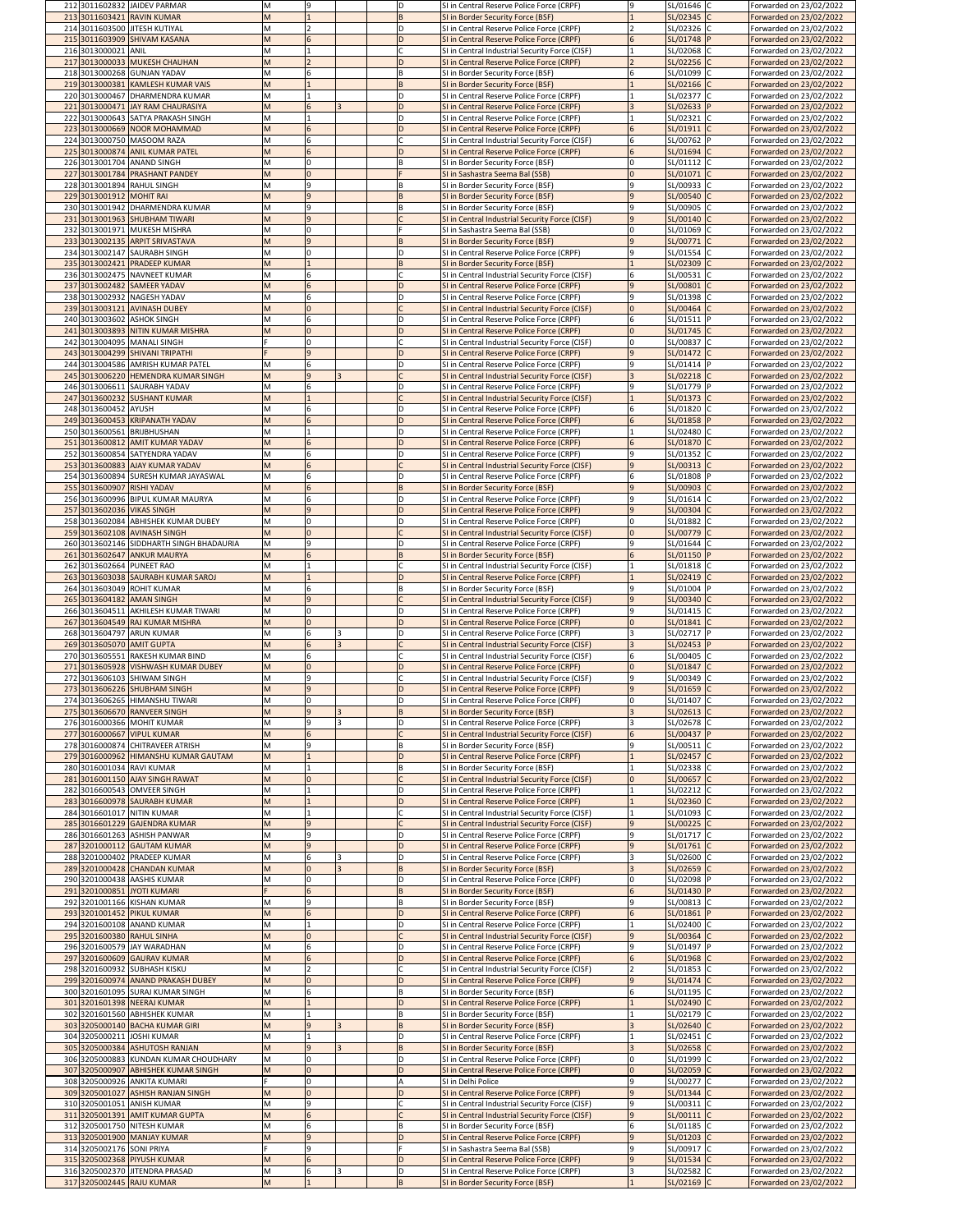| 212 3011602832 JAIDEV PARMAR                                                 | M      |                          |    | ID | SI in Central Reserve Police Force (CRPF)                                                   |   | SL/01646 C                | Forwarded on 23/02/2022                            |
|------------------------------------------------------------------------------|--------|--------------------------|----|----|---------------------------------------------------------------------------------------------|---|---------------------------|----------------------------------------------------|
| 213 3011603421 RAVIN KUMAR                                                   |        |                          |    |    | SI in Border Security Force (BSF)                                                           |   | SL/02345 C                | Forwarded on 23/02/2022                            |
| 214 3011603500 JITESH KUTIYAL                                                |        |                          |    | ID | SI in Central Reserve Police Force (CRPF)                                                   |   | SL/02326 C                | Forwarded on 23/02/2022                            |
| 215 3011603909 SHIVAM KASANA                                                 | M      |                          |    |    | SI in Central Reserve Police Force (CRPF)                                                   |   | SL/01748  P               | Forwarded on 23/02/2022                            |
| 216 3013000021 ANIL<br>217 3013000033 MUKESH CHAUHAN                         | M      | $\overline{\phantom{0}}$ |    |    | SI in Central Industrial Security Force (CISF)                                              |   | SL/02068 C                | Forwarded on 23/02/2022                            |
| 218 3013000268 GUNJAN YADAV                                                  | M<br>M | 6                        |    | ID | SI in Central Reserve Police Force (CRPF)                                                   |   | SL/02256 C                | Forwarded on 23/02/2022                            |
| 219 3013000381 KAMLESH KUMAR VAIS                                            | M      |                          |    |    | SI in Border Security Force (BSF)<br>SI in Border Security Force (BSF)                      |   | SL/01099 C<br>SL/02166 C  | Forwarded on 23/02/2022<br>Forwarded on 23/02/2022 |
| 220 3013000467 DHARMENDRA KUMAR                                              |        |                          |    | D  | SI in Central Reserve Police Force (CRPF)                                                   |   | SL/02377 C                | Forwarded on 23/02/2022                            |
| 221 3013000471 JAY RAM CHAURASIYA                                            | M      | 6                        |    |    | SI in Central Reserve Police Force (CRPF)                                                   |   | SL/02633 P                | Forwarded on 23/02/2022                            |
| 222 3013000643 SATYA PRAKASH SINGH                                           | M      |                          |    |    | SI in Central Reserve Police Force (CRPF)                                                   |   | SL/02321 C                | Forwarded on 23/02/2022                            |
| 223 3013000669 NOOR MOHAMMAD                                                 | M      | 6                        |    |    | SI in Central Reserve Police Force (CRPF)                                                   |   | SL/01911 C                | Forwarded on 23/02/2022                            |
| 224 3013000750 MASOOM RAZA                                                   | M      | 6                        |    |    | SI in Central Industrial Security Force (CISF)                                              |   | SL/00762 P                | Forwarded on 23/02/2022                            |
| 225 3013000874 ANIL KUMAR PATEL                                              |        | 6                        |    |    | SI in Central Reserve Police Force (CRPF)                                                   |   | SL/01694 C                | Forwarded on 23/02/2022                            |
| 226 3013001704 ANAND SINGH                                                   |        |                          |    |    | SI in Border Security Force (BSF)                                                           |   | SL/01112 C                | Forwarded on 23/02/2022                            |
| 227 3013001784 PRASHANT PANDEY                                               | M      | $\overline{0}$           |    |    | SI in Sashastra Seema Bal (SSB)                                                             |   | SL/01071 C                | Forwarded on 23/02/2022                            |
| 228 3013001894 RAHUL SINGH                                                   | M      | 9                        |    |    | SI in Border Security Force (BSF)                                                           |   | SL/00933 C                | Forwarded on 23/02/2022                            |
| 229 3013001912 MOHIT RAI                                                     | M      | $\overline{9}$           |    |    | SI in Border Security Force (BSF)                                                           |   | SL/00540 C                | Forwarded on 23/02/2022                            |
| 230 3013001942 DHARMENDRA KUMAR                                              | м      | 9                        |    |    | SI in Border Security Force (BSF)                                                           |   | SL/00905 C                | Forwarded on 23/02/2022                            |
| 231 3013001963 SHUBHAM TIWARI                                                |        | $\overline{9}$           |    |    | SI in Central Industrial Security Force (CISF)                                              |   | SL/00140 C                | Forwarded on 23/02/2022                            |
| 232 3013001971 MUKESH MISHRA                                                 | м      |                          |    |    | SI in Sashastra Seema Bal (SSB)                                                             |   | SL/01069 C                | Forwarded on 23/02/2022                            |
| 233 3013002135 ARPIT SRIVASTAVA                                              | M      | $\overline{9}$           |    |    | SI in Border Security Force (BSF)                                                           |   | SL/00771 C                | Forwarded on 23/02/2022                            |
| 234 3013002147 SAURABH SINGH                                                 | M      |                          |    | D  | SI in Central Reserve Police Force (CRPF)                                                   |   | SL/01554 C                | Forwarded on 23/02/2022                            |
| 235 3013002421 PRADEEP KUMAR                                                 | M      |                          |    |    | SI in Border Security Force (BSF)                                                           |   | SL/02309 C                | Forwarded on 23/02/2022                            |
| 236 3013002475 NAVNEET KUMAR                                                 | M      | 6                        |    |    | SI in Central Industrial Security Force (CISF)                                              |   | SL/00531 C                | Forwarded on 23/02/2022                            |
| 237 3013002482 SAMEER YADAV                                                  |        | 6                        |    |    | SI in Central Reserve Police Force (CRPF)                                                   |   | SL/00801                  | Forwarded on 23/02/2022                            |
| 238 3013002932 NAGESH YADAV                                                  | M      | 6                        |    |    | SI in Central Reserve Police Force (CRPF)                                                   |   | SL/01398 C                | Forwarded on 23/02/2022                            |
| 239 3013003121 AVINASH DUBEY                                                 | м      |                          |    |    | SI in Central Industrial Security Force (CISF)                                              |   | SL/00464 C                | Forwarded on 23/02/2022                            |
| 240 3013003602 ASHOK SINGH                                                   | M      | 6                        |    | D  | SI in Central Reserve Police Force (CRPF)                                                   |   | SL/01511 P                | Forwarded on 23/02/2022                            |
| 241 3013003893 NITIN KUMAR MISHRA                                            | M      | $\overline{0}$           |    |    | SI in Central Reserve Police Force (CRPF)                                                   |   | SL/01745 C                | Forwarded on 23/02/2022                            |
| 242 3013004095 MANALI SINGH                                                  |        |                          |    |    | SI in Central Industrial Security Force (CISF)                                              |   | SL/00837 C                | Forwarded on 23/02/2022                            |
| 243 3013004299 SHIVANI TRIPATHI                                              |        | $\overline{9}$           |    |    | SI in Central Reserve Police Force (CRPF)                                                   |   | SL/01472 C                | Forwarded on 23/02/2022                            |
| 244 3013004586 AMRISH KUMAR PATEL                                            |        |                          |    |    | SI in Central Reserve Police Force (CRPF)                                                   |   | SL/01414 P                | Forwarded on 23/02/2022                            |
| 245 3013006220 HEMENDRA KUMAR SINGH                                          | M      | <b>9</b>                 |    |    | SI in Central Industrial Security Force (CISF)                                              |   | SL/02218 C                | Forwarded on 23/02/2022                            |
| 246 3013006611 SAURABH YADAV<br>247 3013600232 SUSHANT KUMAR                 |        |                          |    |    | SI in Central Reserve Police Force (CRPF)                                                   |   | SL/01779 P<br>SL/01373 C  | Forwarded on 23/02/2022                            |
| 248 3013600452 AYUSH                                                         | M      | 6                        |    |    | SI in Central Industrial Security Force (CISF)<br>SI in Central Reserve Police Force (CRPF) |   | SL/01820 C                | Forwarded on 23/02/2022                            |
| 249 3013600453 KRIPANATH YADAV                                               |        | 6                        |    |    | SI in Central Reserve Police Force (CRPF)                                                   |   | SL/01858  P               | Forwarded on 23/02/2022<br>Forwarded on 23/02/2022 |
| 250 3013600561 BRIJBHUSHAN                                                   | M      |                          |    |    | SI in Central Reserve Police Force (CRPF)                                                   |   | SL/02480 C                | Forwarded on 23/02/2022                            |
| 251 3013600812 AMIT KUMAR YADAV                                              |        |                          |    | D  | SI in Central Reserve Police Force (CRPF)                                                   |   | SL/01870 C                | Forwarded on 23/02/2022                            |
| 252 3013600854 SATYENDRA YADAV                                               |        | 6                        |    |    | SI in Central Reserve Police Force (CRPF)                                                   |   | SL/01352 C                | Forwarded on 23/02/2022                            |
| 253 3013600883 AJAY KUMAR YADAV                                              | M      |                          |    |    | SI in Central Industrial Security Force (CISF)                                              |   | SL/00313 C                | Forwarded on 23/02/2022                            |
| 254 3013600894 SURESH KUMAR JAYASWAL                                         | M      | 6                        |    |    | SI in Central Reserve Police Force (CRPF)                                                   |   | SL/01808 P                | Forwarded on 23/02/2022                            |
| 255 3013600907 RISHI YADAV                                                   | M      | 6                        |    |    | SI in Border Security Force (BSF)                                                           |   | SL/00903 C                | Forwarded on 23/02/2022                            |
| 256 3013600996 BIPUL KUMAR MAURYA                                            |        | 6                        |    |    | SI in Central Reserve Police Force (CRPF)                                                   |   | SL/01614 C                | Forwarded on 23/02/2022                            |
| 257 3013602036 VIKAS SINGH                                                   |        | <b>9</b>                 |    |    | SI in Central Reserve Police Force (CRPF)                                                   |   | SL/00304 C                | Forwarded on 23/02/2022                            |
| 258 3013602084 ABHISHEK KUMAR DUBEY                                          | M      |                          |    |    | SI in Central Reserve Police Force (CRPF)                                                   |   | SL/01882 C                | Forwarded on 23/02/2022                            |
| 259 3013602108 AVINASH SINGH                                                 |        |                          |    |    | SI in Central Industrial Security Force (CISF)                                              |   | SL/00779 C                | Forwarded on 23/02/2022                            |
| 260 3013602146 SIDDHARTH SINGH BHADAURIA                                     | M      | 9                        |    |    | SI in Central Reserve Police Force (CRPF)                                                   |   | SL/01644 C                | Forwarded on 23/02/2022                            |
| 261 3013602647 ANKUR MAURYA                                                  | M      |                          |    |    | SI in Border Security Force (BSF)                                                           |   | SL/01150 P                | Forwarded on 23/02/2022                            |
| 262 3013602664 PUNEET RAO                                                    |        |                          |    |    | SI in Central Industrial Security Force (CISF)                                              |   | SL/01818 C                | Forwarded on 23/02/2022                            |
|                                                                              |        |                          |    |    |                                                                                             |   |                           |                                                    |
| 263 3013603038 SAURABH KUMAR SAROJ                                           | M      |                          |    |    | SI in Central Reserve Police Force (CRPF)                                                   |   | SL/02419 C                | Forwarded on 23/02/2022                            |
| 264 3013603049 ROHIT KUMAR                                                   | M      | 6                        |    |    | SI in Border Security Force (BSF)                                                           |   | SL/01004 P                | Forwarded on 23/02/2022                            |
| 265 3013604182 AMAN SINGH                                                    | M      | $\overline{9}$           |    |    | SI in Central Industrial Security Force (CISF)                                              |   | SL/00340 C                | Forwarded on 23/02/2022                            |
| 266 3013604511 AKHILESH KUMAR TIWARI                                         | M      |                          |    |    | SI in Central Reserve Police Force (CRPF)                                                   |   | SL/01415 C                | Forwarded on 23/02/2022                            |
| 267 3013604549 RAJ KUMAR MISHRA                                              | M      |                          |    |    | SI in Central Reserve Police Force (CRPF)                                                   |   | SL/01841 C                | Forwarded on 23/02/2022                            |
| 268 3013604797 ARUN KUMAR                                                    |        | 6                        | 3  | D  | SI in Central Reserve Police Force (CRPF)                                                   |   | SL/02717  P               | Forwarded on 23/02/2022                            |
| 269 3013605070 AMIT GUPTA                                                    |        | 6                        |    |    | SI in Central Industrial Security Force (CISF)                                              |   | SL/02453 P                | Forwarded on 23/02/2022                            |
| 270 3013605551 RAKESH KUMAR BIND                                             | M      |                          |    |    | SI in Central Industrial Security Force (CISF)                                              |   | SL/00405 C                | Forwarded on 23/02/2022                            |
| 271 3013605928 VISHWASH KUMAR DUBEY                                          | M      |                          |    |    | SI in Central Reserve Police Force (CRPF)                                                   |   | SL/01847 C                | Forwarded on 23/02/2022                            |
| 272 3013606103 SHIWAM SINGH                                                  | M      | 9                        |    |    | SI in Central Industrial Security Force (CISF)                                              |   | SL/00349 C                | Forwarded on 23/02/2022                            |
| 273 3013606226 SHUBHAM SINGH                                                 |        | <b>9</b>                 |    |    | SI in Central Reserve Police Force (CRPF)                                                   |   | SL/01659 C                | Forwarded on 23/02/2022                            |
| 274 3013606265 HIMANSHU TIWARI                                               |        |                          |    |    | SI in Central Reserve Police Force (CRPF)                                                   |   | SL/01407 C                | Forwarded on 23/02/2022                            |
| 275 3013606670 RANVEER SINGH                                                 |        | 9                        | 13 |    | SI in Border Security Force (BSF)                                                           |   | SL/02613 C                | Forwarded on 23/02/2022                            |
| 276 3016000366 MOHIT KUMAR                                                   | M      |                          |    |    | SI in Central Reserve Police Force (CRPF)                                                   |   | SL/02678 C                | Forwarded on 23/02/2022                            |
| 277 3016000667 VIPUL KUMAR<br>278 3016000874 CHITRAVEER ATRISH               | M      | 6<br>9                   |    |    | SI in Central Industrial Security Force (CISF)                                              |   | SL/00437  P<br>SL/00511 C | Forwarded on 23/02/2022                            |
|                                                                              | M      |                          |    |    | SI in Border Security Force (BSF)<br>SI in Central Reserve Police Force (CRPF)              |   | SL/02457 C                | Forwarded on 23/02/2022<br>Forwarded on 23/02/2022 |
| 279 3016000962 HIMANSHU KUMAR GAUTAM<br>280 3016001034 RAVI KUMAR            | М      |                          |    |    | SI in Border Security Force (BSF)                                                           |   | SL/02338 C                | Forwarded on 23/02/2022                            |
| 281 3016001150 AJAY SINGH RAWAT                                              | M      |                          |    |    | SI in Central Industrial Security Force (CISF)                                              |   | SL/00657 C                | Forwarded on 23/02/2022                            |
| 282 3016600543 OMVEER SINGH                                                  |        |                          |    | D  | SI in Central Reserve Police Force (CRPF)                                                   |   | SL/02212 C                | Forwarded on 23/02/2022                            |
| 283 3016600978 SAURABH KUMAR                                                 | м      |                          |    |    | SI in Central Reserve Police Force (CRPF)                                                   |   | SL/02360 C                | Forwarded on 23/02/2022                            |
| 284 3016601017 NITIN KUMAR                                                   | M      |                          |    |    | SI in Central Industrial Security Force (CISF)                                              |   | SL/01093 C                | Forwarded on 23/02/2022                            |
| 285 3016601229 GAJENDRA KUMAR                                                |        | $\overline{9}$           |    |    | SI in Central Industrial Security Force (CISF)                                              |   | SL/00225 C                | Forwarded on 23/02/2022                            |
| 286 3016601263 ASHISH PANWAR                                                 | M      | l 9                      |    |    | SI in Central Reserve Police Force (CRPF)                                                   |   | SL/01717 C                | Forwarded on 23/02/2022                            |
| 287 3201000112 GAUTAM KUMAR                                                  | M      | $\overline{9}$           |    |    | SI in Central Reserve Police Force (CRPF)                                                   |   | SL/01761 C                | Forwarded on 23/02/2022                            |
| 288 3201000402 PRADEEP KUMAR                                                 | M      | 6                        |    |    | SI in Central Reserve Police Force (CRPF)                                                   |   | SL/02600 C                | Forwarded on 23/02/2022                            |
| 289 3201000428 CHANDAN KUMAR                                                 | M      | $\Omega$                 |    |    | SI in Border Security Force (BSF)                                                           |   | SL/02659 C                | Forwarded on 23/02/2022                            |
| 290 3201000438 AASHIS KUMAR                                                  | M      |                          |    |    | SI in Central Reserve Police Force (CRPF)                                                   |   | SL/02098 P                | Forwarded on 23/02/2022                            |
| 291 3201000851 JYOTI KUMARI                                                  |        | 6                        |    |    | SI in Border Security Force (BSF)                                                           |   | SL/01430  P               | Forwarded on 23/02/2022                            |
| 292 3201001166 KISHAN KUMAR                                                  | M      | 9                        |    |    | SI in Border Security Force (BSF)                                                           |   | SL/00813 C                | Forwarded on 23/02/2022                            |
| 293 3201001452 PIKUL KUMAR                                                   | м      | 6                        |    |    | SI in Central Reserve Police Force (CRPF)                                                   |   | SL/01861 P                | Forwarded on 23/02/2022                            |
| 294 3201600108 ANAND KUMAR                                                   | M      |                          |    |    | SI in Central Reserve Police Force (CRPF)                                                   |   | SL/02400 C                | Forwarded on 23/02/2022                            |
| 295 3201600380 RAHUL SINHA                                                   | м      |                          |    |    | SI in Central Industrial Security Force (CISF)                                              |   | SL/00364 C                | Forwarded on 23/02/2022                            |
| 296 3201600579 JAY WARADHAN                                                  | M      | 6                        |    |    | SI in Central Reserve Police Force (CRPF)                                                   |   | SL/01497 P                | Forwarded on 23/02/2022                            |
| 297 3201600609 GAURAV KUMAR                                                  | M      | 6                        |    |    | SI in Central Reserve Police Force (CRPF)                                                   |   | SL/01968 C                | Forwarded on 23/02/2022                            |
| 298 3201600932 SUBHASH KISKU                                                 |        |                          |    |    | SI in Central Industrial Security Force (CISF)                                              |   | SL/01853 C                | Forwarded on 23/02/2022                            |
| 299 3201600974 ANAND PRAKASH DUBEY                                           | M      |                          |    | D  | SI in Central Reserve Police Force (CRPF)                                                   |   | SL/01474 C                | Forwarded on 23/02/2022                            |
| 300 3201601095 SURAJ KUMAR SINGH                                             |        | 6                        |    |    | SI in Border Security Force (BSF)                                                           |   | SL/01195 C                | Forwarded on 23/02/2022                            |
| 301 3201601398 NEERAJ KUMAR                                                  | м      |                          |    |    | SI in Central Reserve Police Force (CRPF)                                                   |   | SL/02490 C                | Forwarded on 23/02/2022                            |
| 302 3201601560 ABHISHEK KUMAR                                                | M      | <b>9</b>                 |    |    | SI in Border Security Force (BSF)                                                           |   | SL/02179 C                | Forwarded on 23/02/2022                            |
| 303 3205000140 BACHA KUMAR GIRI                                              | M      |                          |    | D  | SI in Border Security Force (BSF)                                                           |   | SL/02640 C                | Forwarded on 23/02/2022                            |
| 304 3205000211 JOSHI KUMAR                                                   | M      | $\overline{9}$           | I٩ |    | SI in Central Reserve Police Force (CRPF)                                                   |   | SL/02451 C                | Forwarded on 23/02/2022                            |
| 305 3205000384 ASHUTOSH RANJAN                                               |        |                          |    |    | SI in Border Security Force (BSF)                                                           |   | SL/02658 C                | Forwarded on 23/02/2022                            |
| 306 3205000883 KUNDAN KUMAR CHOUDHARY<br>307 3205000907 ABHISHEK KUMAR SINGH | M<br>M |                          |    |    | SI in Central Reserve Police Force (CRPF)<br>SI in Central Reserve Police Force (CRPF)      |   | SL/01999 C<br>SL/02059 C  | Forwarded on 23/02/2022<br>Forwarded on 23/02/2022 |
| 308 3205000926 ANKITA KUMARI                                                 |        | $\Omega$                 |    |    | SI in Delhi Police                                                                          |   | SL/00277 C                | Forwarded on 23/02/2022                            |
| 309 3205001027 ASHISH RANJAN SINGH                                           | м      | $\overline{0}$           |    |    | SI in Central Reserve Police Force (CRPF)                                                   |   | $SL/01344$ C              | Forwarded on 23/02/2022                            |
| 310 3205001051 ANISH KUMAR                                                   | М      | 9                        |    |    | SI in Central Industrial Security Force (CISF)                                              |   | SL/00311 C                | Forwarded on 23/02/2022                            |
| 311 3205001391 AMIT KUMAR GUPTA                                              | M      | 6                        |    |    | SI in Central Industrial Security Force (CISF)                                              |   | SL/00111 C                | Forwarded on 23/02/2022                            |
| 312 3205001750 NITESH KUMAR                                                  | M      | 6                        |    |    | SI in Border Security Force (BSF)                                                           | 6 | SL/01185 C                | Forwarded on 23/02/2022                            |
| 313 3205001900 MANJAY KUMAR                                                  | M      | 9                        |    | D  | SI in Central Reserve Police Force (CRPF)                                                   |   | SL/01203 C                | Forwarded on 23/02/2022                            |
| 314 3205002176 SONI PRIYA                                                    |        | 9                        |    |    | SI in Sashastra Seema Bal (SSB)                                                             |   | SL/00917 C                | Forwarded on 23/02/2022                            |
| 315 3205002368 PIYUSH KUMAR                                                  | M      | 6                        |    |    | SI in Central Reserve Police Force (CRPF)                                                   |   | SL/01534 C                | Forwarded on 23/02/2022                            |
| 316 3205002370 JITENDRA PRASAD                                               | M      | 6                        | 13 | ID | SI in Central Reserve Police Force (CRPF)                                                   |   | SL/02582 C                | Forwarded on 23/02/2022                            |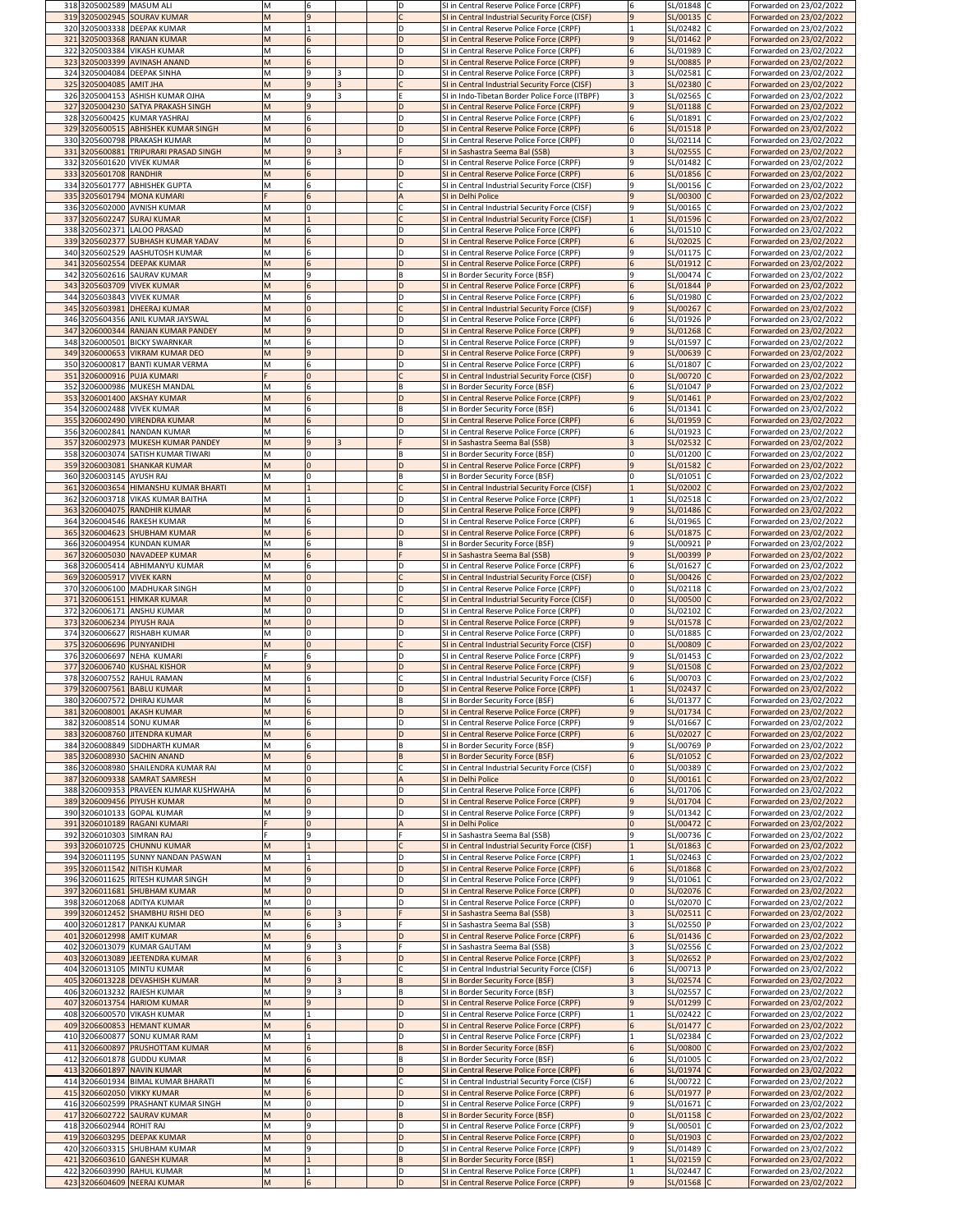|     |                          | 318 3205002589 MASUM ALI                                            |            |                 |  | ID.     | SI in Central Reserve Police Force (CRPF)                                                   | SL/01848 C<br>16                      | Forwarded on 23/02/2022                            |
|-----|--------------------------|---------------------------------------------------------------------|------------|-----------------|--|---------|---------------------------------------------------------------------------------------------|---------------------------------------|----------------------------------------------------|
|     |                          | 319 3205002945 SOURAV KUMAR                                         |            | l 9             |  |         | SI in Central Industrial Security Force (CISF)                                              | l 9<br>SL/00135 C                     | Forwarded on 23/02/2022                            |
|     |                          | 320 3205003338 DEEPAK KUMAR<br>321 3205003368 RANJAN KUMAR          |            |                 |  |         | SI in Central Reserve Police Force (CRPF)<br>SI in Central Reserve Police Force (CRPF)      | SL/02482 C<br>SL/01462 P              | Forwarded on 23/02/2022<br>Forwarded on 23/02/2022 |
| 322 |                          | 3205003384 VIKASH KUMAR                                             |            | 6               |  |         | SI in Central Reserve Police Force (CRPF)                                                   | SL/01989 C                            | Forwarded on 23/02/2022                            |
|     |                          | 323 3205003399 AVINASH ANAND                                        |            | 6               |  | D       | SI in Central Reserve Police Force (CRPF)                                                   | SL/00885 P<br>$\mathsf{q}$            | Forwarded on 23/02/2022                            |
|     |                          | 324 3205004084 DEEPAK SINHA                                         | M          | 9               |  | D       | SI in Central Reserve Police Force (CRPF)                                                   | SL/02581 C                            | Forwarded on 23/02/2022                            |
|     | 325 3205004085 AMIT JHA  |                                                                     |            | 9               |  |         | SI in Central Industrial Security Force (CISF)                                              | SL/02380 C                            | Forwarded on 23/02/2022                            |
|     |                          | 326 3205004153 ASHISH KUMAR OJHA                                    |            | Ι9              |  |         | SI in Indo-Tibetan Border Police Force (ITBPF)                                              | SL/02565 C                            | Forwarded on 23/02/2022                            |
|     |                          | 327 3205004230 SATYA PRAKASH SINGH<br>328 3205600425 KUMAR YASHRAJ  |            | <b>9</b><br>6   |  | D<br>D  | SI in Central Reserve Police Force (CRPF)<br>SI in Central Reserve Police Force (CRPF)      | <b>9</b><br>SL/01188 C<br>SL/01891    | Forwarded on 23/02/2022<br>Forwarded on 23/02/2022 |
|     |                          | 329 3205600515 ABHISHEK KUMAR SINGH                                 | M          | 6               |  |         | SI in Central Reserve Police Force (CRPF)                                                   | SL/01518  P<br>6                      | Forwarded on 23/02/2022                            |
|     |                          | 330 3205600798 PRAKASH KUMAR                                        |            |                 |  | ID.     | SI in Central Reserve Police Force (CRPF)                                                   | SL/02114 C<br><sup>0</sup>            | Forwarded on 23/02/2022                            |
|     |                          | 331 3205600881 TRIPURARI PRASAD SINGH                               | M          |                 |  |         | SI in Sashastra Seema Bal (SSB)                                                             | SL/02555 C                            | Forwarded on 23/02/2022                            |
|     |                          | 332 3205601620 VIVEK KUMAR                                          |            |                 |  | D       | SI in Central Reserve Police Force (CRPF)                                                   | SL/01482 C                            | Forwarded on 23/02/2022                            |
|     | 333 3205601708 RANDHIR   |                                                                     |            |                 |  | ID.     | SI in Central Reserve Police Force (CRPF)                                                   | 6<br>SL/01856 C                       | Forwarded on 23/02/2022                            |
|     |                          | 334 3205601777 ABHISHEK GUPTA<br>335 3205601794 MONA KUMARI         |            | 6               |  |         | SI in Central Industrial Security Force (CISF)<br>SI in Delhi Police                        | SL/00156 C<br>SL/00300 C              | Forwarded on 23/02/2022<br>Forwarded on 23/02/2022 |
|     |                          | 336 3205602000 AVNISH KUMAR                                         |            |                 |  |         | SI in Central Industrial Security Force (CISF)                                              | SL/00165 C<br>Ι9                      | Forwarded on 23/02/2022                            |
|     |                          | 337 3205602247 SURAJ KUMAR                                          |            |                 |  |         | SI in Central Industrial Security Force (CISF)                                              | SL/01596 C                            | Forwarded on 23/02/2022                            |
|     |                          | 338 3205602371 LALOO PRASAD                                         |            | 6               |  |         | SI in Central Reserve Police Force (CRPF)                                                   | SL/01510 C                            | Forwarded on 23/02/2022                            |
|     |                          | 339 3205602377 SUBHASH KUMAR YADAV                                  |            | 6               |  | D       | SI in Central Reserve Police Force (CRPF)                                                   | SL/02025 C                            | Forwarded on 23/02/2022                            |
|     |                          | 340 3205602529 AASHUTOSH KUMAR                                      | M          |                 |  | D<br>D  | SI in Central Reserve Police Force (CRPF)                                                   | l 9<br>SL/01175 C                     | Forwarded on 23/02/2022                            |
|     |                          | 341 3205602554 DEEPAK KUMAR<br>342 3205602616 SAURAV KUMAR          |            | ۱q              |  | B       | SI in Central Reserve Police Force (CRPF)<br>SI in Border Security Force (BSF)              | SL/01912 C<br>SL/00474 C              | Forwarded on 23/02/2022<br>Forwarded on 23/02/2022 |
|     |                          | 343 3205603709 VIVEK KUMAR                                          |            | $6\overline{6}$ |  |         | SI in Central Reserve Police Force (CRPF)                                                   | SL/01844  P                           | Forwarded on 23/02/2022                            |
|     |                          | 344 3205603843 VIVEK KUMAR                                          |            | 6               |  | D       | SI in Central Reserve Police Force (CRPF)                                                   | SL/01980 C<br>6                       | Forwarded on 23/02/2022                            |
|     |                          | 345 3205603981 DHEERAJ KUMAR                                        |            |                 |  |         | SI in Central Industrial Security Force (CISF)                                              | SL/00267 C<br>$\mathsf{q}$            | Forwarded on 23/02/2022                            |
| 346 |                          | 3205604356 ANIL KUMAR JAYSWAL                                       |            |                 |  |         | SI in Central Reserve Police Force (CRPF)                                                   | SL/01926  P<br>6                      | Forwarded on 23/02/2022                            |
|     |                          | 347 3206000344 RANJAN KUMAR PANDEY<br>348 3206000501 BICKY SWARNKAR |            | <u>g</u><br>6   |  | ID.     | SI in Central Reserve Police Force (CRPF)<br>SI in Central Reserve Police Force (CRPF)      | <b>9</b><br>SL/01268 C<br>SL/01597 C  | Forwarded on 23/02/2022<br>Forwarded on 23/02/2022 |
|     |                          | 349 3206000653 VIKRAM KUMAR DEO                                     |            | $\vert 9 \vert$ |  |         | SI in Central Reserve Police Force (CRPF)                                                   | SL/00639 C<br>9                       | Forwarded on 23/02/2022                            |
|     |                          | 350 3206000817 BANTI KUMAR VERMA                                    |            |                 |  | D       | SI in Central Reserve Police Force (CRPF)                                                   | SL/01807 C<br>6                       | Forwarded on 23/02/2022                            |
|     |                          | 351 3206000916 PUJA KUMARI                                          |            |                 |  |         | SI in Central Industrial Security Force (CISF)                                              | SL/00720 C                            | Forwarded on 23/02/2022                            |
|     |                          | 352 3206000986 MUKESH MANDAL                                        |            |                 |  |         | SI in Border Security Force (BSF)                                                           | SL/01047  P                           | Forwarded on 23/02/2022                            |
|     |                          | 353 3206001400 AKSHAY KUMAR                                         |            |                 |  | D       | SI in Central Reserve Police Force (CRPF)                                                   | 9<br>SL/01461                         | Forwarded on 23/02/2022                            |
|     |                          | 354 3206002488 VIVEK KUMAR<br>355 3206002490 VIRENDRA KUMAR         |            | 6               |  | ΙB<br>D | SI in Border Security Force (BSF)<br>SI in Central Reserve Police Force (CRPF)              | SL/01341 C<br>6<br>SL/01959 C<br>6    | Forwarded on 23/02/2022<br>Forwarded on 23/02/2022 |
|     |                          | 356 3206002841 NANDAN KUMAR                                         |            |                 |  | D       | SI in Central Reserve Police Force (CRPF)                                                   | SL/01923 C                            | Forwarded on 23/02/2022                            |
|     |                          | 357 3206002973 MUKESH KUMAR PANDEY                                  |            | l 9             |  |         | SI in Sashastra Seema Bal (SSB)                                                             | SL/02532 C                            | Forwarded on 23/02/2022                            |
|     |                          | 358 3206003074 SATISH KUMAR TIWARI                                  |            |                 |  | B       | SI in Border Security Force (BSF)                                                           | SL/01200 C<br>l0.                     | Forwarded on 23/02/2022                            |
|     |                          | 359 3206003081 SHANKAR KUMAR                                        |            |                 |  | D       | SI in Central Reserve Police Force (CRPF)                                                   | SL/01582 C<br>9                       | Forwarded on 23/02/2022                            |
|     | 360 3206003145 AYUSH RAJ |                                                                     | M          |                 |  | ΙB      | SI in Border Security Force (BSF)                                                           | SL/01051 C                            | Forwarded on 23/02/2022                            |
|     |                          | 361 3206003654 HIMANSHU KUMAR BHARTI                                |            |                 |  |         | SI in Central Industrial Security Force (CISF)                                              | SL/02002 C                            | Forwarded on 23/02/2022                            |
|     |                          | 362 3206003718 VIKAS KUMAR BAITHA<br>363 3206004075 RANDHIR KUMAR   |            |                 |  |         | SI in Central Reserve Police Force (CRPF)<br>SI in Central Reserve Police Force (CRPF)      | SL/02518 C<br>SL/01486 C              | Forwarded on 23/02/2022<br>Forwarded on 23/02/2022 |
|     |                          | 364 3206004546 RAKESH KUMAR                                         |            |                 |  | D       | SI in Central Reserve Police Force (CRPF)                                                   | SL/01965 C<br>6                       | Forwarded on 23/02/2022                            |
|     |                          | 365 3206004623 SHUBHAM KUMAR                                        |            | 6               |  |         | SI in Central Reserve Police Force (CRPF)                                                   | SL/01875 C<br>6                       | Forwarded on 23/02/2022                            |
|     |                          | 366 3206004954 KUNDAN KUMAR                                         |            |                 |  | B       | SI in Border Security Force (BSF)                                                           | l 9<br>SL/00921  P                    | Forwarded on 23/02/2022                            |
|     |                          | 367 3206005030 NAVADEEP KUMAR                                       |            |                 |  |         | SI in Sashastra Seema Bal (SSB)                                                             | <b>g</b><br>SL/00399 P                | Forwarded on 23/02/2022                            |
|     |                          | 368 3206005414 ABHIMANYU KUMAR                                      |            | 6               |  | D       | SI in Central Reserve Police Force (CRPF)                                                   | SL/01627 C<br>6                       | Forwarded on 23/02/2022                            |
|     |                          | 369 3206005917 VIVEK KARN<br>370 3206006100 MADHUKAR SINGH          |            |                 |  | D       | SI in Central Industrial Security Force (CISF)<br>SI in Central Reserve Police Force (CRPF) | SL/00426 C<br>10<br>SL/02118 C<br>l0. | Forwarded on 23/02/2022<br>Forwarded on 23/02/2022 |
|     |                          | 371 3206006151 HIMKAR KUMAR                                         |            |                 |  |         | SI in Central Industrial Security Force (CISF)                                              | SL/00500 C<br>10                      | Forwarded on 23/02/2022                            |
|     |                          | 372 3206006171 ANSHU KUMAR                                          |            |                 |  | D       | SI in Central Reserve Police Force (CRPF)                                                   | SL/02102 C<br><sup>0</sup>            | Forwarded on 23/02/2022                            |
|     |                          | 373 3206006234 PIYUSH RAJA                                          |            |                 |  |         | SI in Central Reserve Police Force (CRPF)                                                   | SL/01578 C<br>$\mathbf{q}$            | Forwarded on 23/02/2022                            |
|     |                          | 374 3206006627 RISHABH KUMAR                                        |            |                 |  | D       | SI in Central Reserve Police Force (CRPF)                                                   | SL/01885 C                            | Forwarded on 23/02/2022                            |
|     |                          | 375 3206006696 PUNYANIDHI                                           |            |                 |  |         | SI in Central Industrial Security Force (CISF)                                              | SL/00809 C<br>ΙO                      | Forwarded on 23/02/2022                            |
|     |                          | 376 3206006697 NEHA KUMARI<br>377 3206006740 KUSHAL KISHOR          |            | 6               |  |         | SI in Central Reserve Police Force (CRPF)<br>SI in Central Reserve Police Force (CRPF)      | SL/01453 C<br>l 9<br>SL/01508 C       | Forwarded on 23/02/2022<br>Forwarded on 23/02/2022 |
|     |                          | 378 3206007552 RAHUL RAMAN                                          |            | 6               |  |         | SI in Central Industrial Security Force (CISF)                                              | SL/00703 C<br>6                       | Forwarded on 23/02/2022                            |
|     |                          | 379 3206007561 BABLU KUMAR                                          |            |                 |  |         | SI in Central Reserve Police Force (CRPF)                                                   | SL/02437 C                            | Forwarded on 23/02/2022                            |
|     |                          | 380 3206007572 DHIRAJ KUMAR                                         |            |                 |  |         | SI in Border Security Force (BSF)                                                           | SL/01377 C                            | Forwarded on 23/02/2022                            |
|     |                          | 381 3206008001 AKASH KUMAR                                          |            |                 |  | ID.     | SI in Central Reserve Police Force (CRPF)                                                   | lq<br>SL/01734 C                      | Forwarded on 23/02/2022                            |
|     |                          | 382 3206008514 SONU KUMAR                                           |            |                 |  |         | SI in Central Reserve Police Force (CRPF)                                                   | SL/01667 C                            | Forwarded on 23/02/2022                            |
| 384 |                          | 383 3206008760 JITENDRA KUMAR<br>3206008849 SIDDHARTH KUMAR         |            |                 |  | ΙB      | SI in Central Reserve Police Force (CRPF)<br>SI in Border Security Force (BSF)              | SL/02027 C<br>SL/00769  P             | Forwarded on 23/02/2022<br>Forwarded on 23/02/2022 |
|     |                          | 385 3206008930 SACHIN ANAND                                         |            | 6               |  |         | SI in Border Security Force (BSF)                                                           | SL/01052 C                            | Forwarded on 23/02/2022                            |
|     |                          | 386 3206008980 SHAILENDRA KUMAR RAI                                 |            |                 |  |         | SI in Central Industrial Security Force (CISF)                                              | SL/00389 C<br><sup>0</sup>            | Forwarded on 23/02/2022                            |
|     |                          | 387 3206009338 SAMRAT SAMRESH                                       |            |                 |  |         | SI in Delhi Police                                                                          | SL/00161 C                            | Forwarded on 23/02/2022                            |
|     |                          | 388 3206009353 PRAVEEN KUMAR KUSHWAHA                               | M          |                 |  | D       | SI in Central Reserve Police Force (CRPF)                                                   | SL/01706 C                            | Forwarded on 23/02/2022                            |
|     |                          | 389 3206009456 PIYUSH KUMAR                                         |            | ۱q              |  | D       | SI in Central Reserve Police Force (CRPF)                                                   | SL/01704 C                            | Forwarded on 23/02/2022                            |
|     |                          | 390 3206010133 GOPAL KUMAR<br>391 3206010189 RAGANI KUMARI          |            |                 |  |         | SI in Central Reserve Police Force (CRPF)<br>SI in Delhi Police                             | SL/01342 C<br>SL/00472 C              | Forwarded on 23/02/2022<br>Forwarded on 23/02/2022 |
|     |                          | 392 3206010303 SIMRAN RAJ                                           |            |                 |  |         | SI in Sashastra Seema Bal (SSB)                                                             | SL/00736 C                            |                                                    |
|     |                          | 393 3206010725 CHUNNU KUMAR                                         |            |                 |  |         |                                                                                             |                                       | Forwarded on 23/02/2022                            |
|     |                          |                                                                     |            |                 |  |         | SI in Central Industrial Security Force (CISF)                                              | SL/01863 C                            | Forwarded on 23/02/2022                            |
|     |                          | 394 3206011195 SUNNY NANDAN PASWAN                                  |            |                 |  |         | SI in Central Reserve Police Force (CRPF)                                                   | SL/02463 C                            | Forwarded on 23/02/2022                            |
|     |                          | 395 3206011542 NITISH KUMAR                                         |            |                 |  | ID.     | SI in Central Reserve Police Force (CRPF)                                                   | SL/01868 C                            | Forwarded on 23/02/2022                            |
|     |                          | 396 3206011625 RITESH KUMAR SINGH                                   | M          | q               |  |         | SI in Central Reserve Police Force (CRPF)                                                   | SL/01061 C<br>l Q                     | Forwarded on 23/02/2022                            |
|     |                          | 397 3206011681 SHUBHAM KUMAR                                        |            |                 |  | ID.     | SI in Central Reserve Police Force (CRPF)                                                   | SL/02076 C<br>l0.                     | Forwarded on 23/02/2022                            |
|     |                          | 398 3206012068 ADITYA KUMAR<br>399 3206012452 SHAMBHU RISHI DEO     |            | 6               |  |         | SI in Central Reserve Police Force (CRPF)<br>SI in Sashastra Seema Bal (SSB)                | SL/02070 C<br>SL/02511 C              | Forwarded on 23/02/2022<br>Forwarded on 23/02/2022 |
|     |                          | 400 3206012817 PANKAJ KUMAR                                         |            | 6               |  |         | SI in Sashastra Seema Bal (SSB)                                                             | SL/02550 P                            | Forwarded on 23/02/2022                            |
| 401 |                          | 3206012998 AMIT KUMAR                                               |            | 6               |  | D       | SI in Central Reserve Police Force (CRPF)                                                   | SL/01436 C                            | Forwarded on 23/02/2022                            |
|     |                          | 402 3206013079 KUMAR GAUTAM                                         |            | 9               |  |         | SI in Sashastra Seema Bal (SSB)                                                             | SL/02556 C                            | Forwarded on 23/02/2022                            |
|     |                          | 403 3206013089 JEETENDRA KUMAR                                      |            |                 |  |         | SI in Central Reserve Police Force (CRPF)                                                   | SL/02652 P                            | Forwarded on 23/02/2022                            |
|     |                          | 404 3206013105 MINTU KUMAR                                          |            |                 |  |         | SI in Central Industrial Security Force (CISF)                                              | SL/00713  P                           | Forwarded on 23/02/2022                            |
|     |                          | 405 3206013228 DEVASHISH KUMAR<br>406 3206013232 RAJESH KUMAR       |            | a               |  | IB.     | SI in Border Security Force (BSF)<br>SI in Border Security Force (BSF)                      | SL/02574 C<br>SL/02557 C              | Forwarded on 23/02/2022<br>Forwarded on 23/02/2022 |
|     |                          | 407 3206013754 HARIOM KUMAR                                         |            | <b>g</b>        |  |         | SI in Central Reserve Police Force (CRPF)                                                   | SL/01299 C                            | Forwarded on 23/02/2022                            |
|     |                          | 408 3206600570 VIKASH KUMAR                                         |            |                 |  | D       | SI in Central Reserve Police Force (CRPF)                                                   | SL/02422 C                            | Forwarded on 23/02/2022                            |
|     |                          | 409 3206600853 HEMANT KUMAR                                         |            |                 |  | ID.     | SI in Central Reserve Police Force (CRPF)                                                   | SL/01477 C                            | Forwarded on 23/02/2022                            |
|     |                          | 410 3206600877 SONU KUMAR RAM                                       |            |                 |  | D       | SI in Central Reserve Police Force (CRPF)                                                   | SL/02384 C                            | Forwarded on 23/02/2022                            |
| 411 |                          | 3206600897 PRUSHOTTAM KUMAR                                         |            |                 |  | B       | SI in Border Security Force (BSF)                                                           | SL/00800 C                            | Forwarded on 23/02/2022                            |
|     |                          | 412 3206601878 GUDDU KUMAR<br>413 3206601897 NAVIN KUMAR            | <b>IVI</b> |                 |  |         | SI in Border Security Force (BSF)<br>SI in Central Reserve Police Force (CRPF)              | SL/01005 C<br>SL/01974 C              | Forwarded on 23/02/2022<br>Forwarded on 23/02/2022 |
|     |                          | 414 3206601934 BIMAL KUMAR BHARATI                                  | M          |                 |  |         | SI in Central Industrial Security Force (CISF)                                              | 6<br>SL/00722 C                       | Forwarded on 23/02/2022                            |
|     |                          | 415 3206602050 VIKKY KUMAR                                          | M          | $6\overline{6}$ |  | D       | SI in Central Reserve Police Force (CRPF)                                                   | SL/01977 P<br>6                       | Forwarded on 23/02/2022                            |
|     |                          | 416 3206602599 PRASHANT KUMAR SINGH                                 | M          |                 |  | ID      | SI in Central Reserve Police Force (CRPF)                                                   | SL/01671 C<br>9                       | Forwarded on 23/02/2022                            |
|     |                          | 417 3206602722 SAURAV KUMAR                                         | M          |                 |  | ΙB      | SI in Border Security Force (BSF)                                                           | SL/01158 C<br>$\Omega$                | Forwarded on 23/02/2022                            |
|     | 418 3206602944 ROHIT RAJ |                                                                     | M          | <b>9</b>        |  |         | SI in Central Reserve Police Force (CRPF)                                                   | SL/00501 C<br>q<br>$\Omega$           | Forwarded on 23/02/2022                            |
|     |                          | 419 3206603295 DEEPAK KUMAR<br>420 3206603315 SHUBHAM KUMAR         | M          | 9               |  | ID.     | SI in Central Reserve Police Force (CRPF)<br>SI in Central Reserve Police Force (CRPF)      | SL/01903 C<br>SL/01489 C              | Forwarded on 23/02/2022<br>Forwarded on 23/02/2022 |
|     |                          | 421 3206603610 GANESH KUMAR                                         |            |                 |  | ΙB      | SI in Border Security Force (BSF)                                                           | SL/02159 C                            | Forwarded on 23/02/2022                            |
|     |                          | 422 3206603990 RAHUL KUMAR<br>423 3206604609 NEERAJ KUMAR           | M          | 6               |  | D<br>D  | SI in Central Reserve Police Force (CRPF)<br>SI in Central Reserve Police Force (CRPF)      | SL/02447 C<br> 9 <br>SL/01568 C       | Forwarded on 23/02/2022<br>Forwarded on 23/02/2022 |